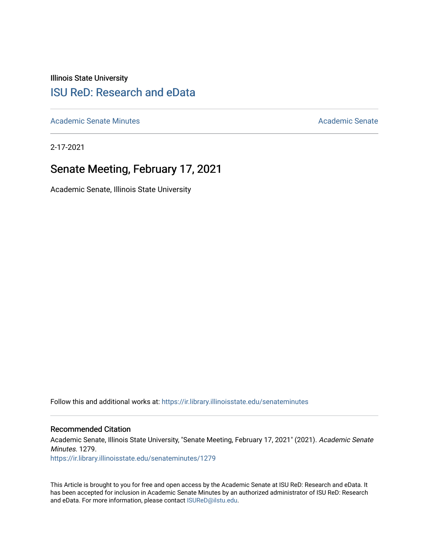Illinois State University

# [ISU ReD: Research and eData](https://ir.library.illinoisstate.edu/)

[Academic Senate Minutes](https://ir.library.illinoisstate.edu/senateminutes) [Academic Senate](https://ir.library.illinoisstate.edu/senate) Academic Senate

2-17-2021

## Senate Meeting, February 17, 2021

Academic Senate, Illinois State University

Follow this and additional works at: [https://ir.library.illinoisstate.edu/senateminutes](https://ir.library.illinoisstate.edu/senateminutes?utm_source=ir.library.illinoisstate.edu%2Fsenateminutes%2F1279&utm_medium=PDF&utm_campaign=PDFCoverPages) 

#### Recommended Citation

Academic Senate, Illinois State University, "Senate Meeting, February 17, 2021" (2021). Academic Senate Minutes. 1279.

[https://ir.library.illinoisstate.edu/senateminutes/1279](https://ir.library.illinoisstate.edu/senateminutes/1279?utm_source=ir.library.illinoisstate.edu%2Fsenateminutes%2F1279&utm_medium=PDF&utm_campaign=PDFCoverPages)

This Article is brought to you for free and open access by the Academic Senate at ISU ReD: Research and eData. It has been accepted for inclusion in Academic Senate Minutes by an authorized administrator of ISU ReD: Research and eData. For more information, please contact [ISUReD@ilstu.edu.](mailto:ISUReD@ilstu.edu)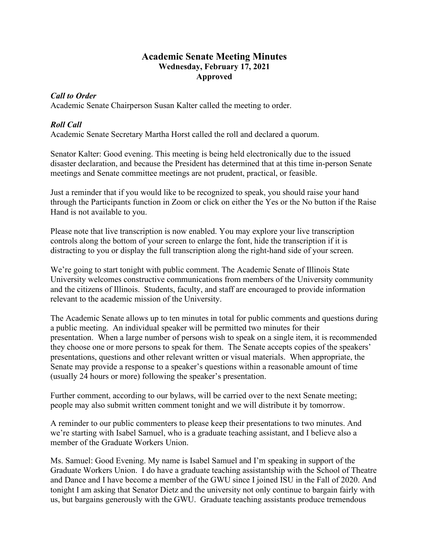## **Academic Senate Meeting Minutes Wednesday, February 17, 2021 Approved**

#### *Call to Order*

Academic Senate Chairperson Susan Kalter called the meeting to order.

## *Roll Call*

Academic Senate Secretary Martha Horst called the roll and declared a quorum.

Senator Kalter: Good evening. This meeting is being held electronically due to the issued disaster declaration, and because the President has determined that at this time in-person Senate meetings and Senate committee meetings are not prudent, practical, or feasible.

Just a reminder that if you would like to be recognized to speak, you should raise your hand through the Participants function in Zoom or click on either the Yes or the No button if the Raise Hand is not available to you.

Please note that live transcription is now enabled. You may explore your live transcription controls along the bottom of your screen to enlarge the font, hide the transcription if it is distracting to you or display the full transcription along the right-hand side of your screen.

We're going to start tonight with public comment. The Academic Senate of Illinois State University welcomes constructive communications from members of the University community and the citizens of Illinois. Students, faculty, and staff are encouraged to provide information relevant to the academic mission of the University.

The Academic Senate allows up to ten minutes in total for public comments and questions during a public meeting. An individual speaker will be permitted two minutes for their presentation. When a large number of persons wish to speak on a single item, it is recommended they choose one or more persons to speak for them. The Senate accepts copies of the speakers' presentations, questions and other relevant written or visual materials. When appropriate, the Senate may provide a response to a speaker's questions within a reasonable amount of time (usually 24 hours or more) following the speaker's presentation.

Further comment, according to our bylaws, will be carried over to the next Senate meeting; people may also submit written comment tonight and we will distribute it by tomorrow.

A reminder to our public commenters to please keep their presentations to two minutes. And we're starting with Isabel Samuel, who is a graduate teaching assistant, and I believe also a member of the Graduate Workers Union.

Ms. Samuel: Good Evening. My name is Isabel Samuel and I'm speaking in support of the Graduate Workers Union. I do have a graduate teaching assistantship with the School of Theatre and Dance and I have become a member of the GWU since I joined ISU in the Fall of 2020. And tonight I am asking that Senator Dietz and the university not only continue to bargain fairly with us, but bargains generously with the GWU. Graduate teaching assistants produce tremendous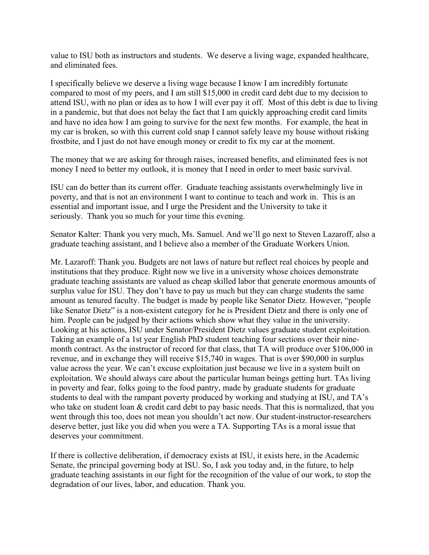value to ISU both as instructors and students. We deserve a living wage, expanded healthcare, and eliminated fees.

I specifically believe we deserve a living wage because I know I am incredibly fortunate compared to most of my peers, and I am still \$15,000 in credit card debt due to my decision to attend ISU, with no plan or idea as to how I will ever pay it off. Most of this debt is due to living in a pandemic, but that does not belay the fact that I am quickly approaching credit card limits and have no idea how I am going to survive for the next few months. For example, the heat in my car is broken, so with this current cold snap I cannot safely leave my house without risking frostbite, and I just do not have enough money or credit to fix my car at the moment.

The money that we are asking for through raises, increased benefits, and eliminated fees is not money I need to better my outlook, it is money that I need in order to meet basic survival.

ISU can do better than its current offer. Graduate teaching assistants overwhelmingly live in poverty, and that is not an environment I want to continue to teach and work in. This is an essential and important issue, and I urge the President and the University to take it seriously. Thank you so much for your time this evening.

Senator Kalter: Thank you very much, Ms. Samuel. And we'll go next to Steven Lazaroff, also a graduate teaching assistant, and I believe also a member of the Graduate Workers Union.

Mr. Lazaroff: Thank you. Budgets are not laws of nature but reflect real choices by people and institutions that they produce. Right now we live in a university whose choices demonstrate graduate teaching assistants are valued as cheap skilled labor that generate enormous amounts of surplus value for ISU. They don't have to pay us much but they can charge students the same amount as tenured faculty. The budget is made by people like Senator Dietz. However, "people like Senator Dietz" is a non-existent category for he is President Dietz and there is only one of him. People can be judged by their actions which show what they value in the university. Looking at his actions, ISU under Senator/President Dietz values graduate student exploitation. Taking an example of a 1st year English PhD student teaching four sections over their ninemonth contract. As the instructor of record for that class, that TA will produce over \$106,000 in revenue, and in exchange they will receive \$15,740 in wages. That is over \$90,000 in surplus value across the year. We can't excuse exploitation just because we live in a system built on exploitation. We should always care about the particular human beings getting hurt. TAs living in poverty and fear, folks going to the food pantry, made by graduate students for graduate students to deal with the rampant poverty produced by working and studying at ISU, and TA's who take on student loan & credit card debt to pay basic needs. That this is normalized, that you went through this too, does not mean you shouldn't act now. Our student-instructor-researchers deserve better, just like you did when you were a TA. Supporting TAs is a moral issue that deserves your commitment.

If there is collective deliberation, if democracy exists at ISU, it exists here, in the Academic Senate, the principal governing body at ISU. So, I ask you today and, in the future, to help graduate teaching assistants in our fight for the recognition of the value of our work, to stop the degradation of our lives, labor, and education. Thank you.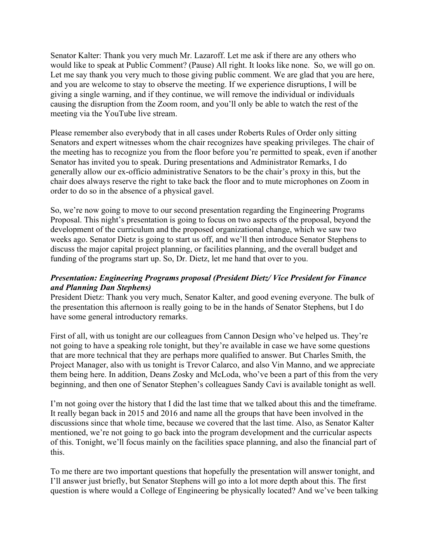Senator Kalter: Thank you very much Mr. Lazaroff. Let me ask if there are any others who would like to speak at Public Comment? (Pause) All right. It looks like none. So, we will go on. Let me say thank you very much to those giving public comment. We are glad that you are here, and you are welcome to stay to observe the meeting. If we experience disruptions, I will be giving a single warning, and if they continue, we will remove the individual or individuals causing the disruption from the Zoom room, and you'll only be able to watch the rest of the meeting via the YouTube live stream.

Please remember also everybody that in all cases under Roberts Rules of Order only sitting Senators and expert witnesses whom the chair recognizes have speaking privileges. The chair of the meeting has to recognize you from the floor before you're permitted to speak, even if another Senator has invited you to speak. During presentations and Administrator Remarks, I do generally allow our ex-officio administrative Senators to be the chair's proxy in this, but the chair does always reserve the right to take back the floor and to mute microphones on Zoom in order to do so in the absence of a physical gavel.

So, we're now going to move to our second presentation regarding the Engineering Programs Proposal. This night's presentation is going to focus on two aspects of the proposal, beyond the development of the curriculum and the proposed organizational change, which we saw two weeks ago. Senator Dietz is going to start us off, and we'll then introduce Senator Stephens to discuss the major capital project planning, or facilities planning, and the overall budget and funding of the programs start up. So, Dr. Dietz, let me hand that over to you.

## *Presentation: Engineering Programs proposal (President Dietz/ Vice President for Finance and Planning Dan Stephens)*

President Dietz: Thank you very much, Senator Kalter, and good evening everyone. The bulk of the presentation this afternoon is really going to be in the hands of Senator Stephens, but I do have some general introductory remarks.

First of all, with us tonight are our colleagues from Cannon Design who've helped us. They're not going to have a speaking role tonight, but they're available in case we have some questions that are more technical that they are perhaps more qualified to answer. But Charles Smith, the Project Manager, also with us tonight is Trevor Calarco, and also Vin Manno, and we appreciate them being here. In addition, Deans Zosky and McLoda, who've been a part of this from the very beginning, and then one of Senator Stephen's colleagues Sandy Cavi is available tonight as well.

I'm not going over the history that I did the last time that we talked about this and the timeframe. It really began back in 2015 and 2016 and name all the groups that have been involved in the discussions since that whole time, because we covered that the last time. Also, as Senator Kalter mentioned, we're not going to go back into the program development and the curricular aspects of this. Tonight, we'll focus mainly on the facilities space planning, and also the financial part of this.

To me there are two important questions that hopefully the presentation will answer tonight, and I'll answer just briefly, but Senator Stephens will go into a lot more depth about this. The first question is where would a College of Engineering be physically located? And we've been talking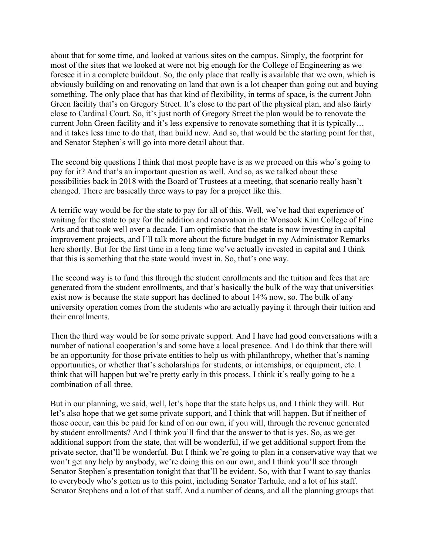about that for some time, and looked at various sites on the campus. Simply, the footprint for most of the sites that we looked at were not big enough for the College of Engineering as we foresee it in a complete buildout. So, the only place that really is available that we own, which is obviously building on and renovating on land that own is a lot cheaper than going out and buying something. The only place that has that kind of flexibility, in terms of space, is the current John Green facility that's on Gregory Street. It's close to the part of the physical plan, and also fairly close to Cardinal Court. So, it's just north of Gregory Street the plan would be to renovate the current John Green facility and it's less expensive to renovate something that it is typically… and it takes less time to do that, than build new. And so, that would be the starting point for that, and Senator Stephen's will go into more detail about that.

The second big questions I think that most people have is as we proceed on this who's going to pay for it? And that's an important question as well. And so, as we talked about these possibilities back in 2018 with the Board of Trustees at a meeting, that scenario really hasn't changed. There are basically three ways to pay for a project like this.

A terrific way would be for the state to pay for all of this. Well, we've had that experience of waiting for the state to pay for the addition and renovation in the Wonsook Kim College of Fine Arts and that took well over a decade. I am optimistic that the state is now investing in capital improvement projects, and I'll talk more about the future budget in my Administrator Remarks here shortly. But for the first time in a long time we've actually invested in capital and I think that this is something that the state would invest in. So, that's one way.

The second way is to fund this through the student enrollments and the tuition and fees that are generated from the student enrollments, and that's basically the bulk of the way that universities exist now is because the state support has declined to about 14% now, so. The bulk of any university operation comes from the students who are actually paying it through their tuition and their enrollments.

Then the third way would be for some private support. And I have had good conversations with a number of national cooperation's and some have a local presence. And I do think that there will be an opportunity for those private entities to help us with philanthropy, whether that's naming opportunities, or whether that's scholarships for students, or internships, or equipment, etc. I think that will happen but we're pretty early in this process. I think it's really going to be a combination of all three.

But in our planning, we said, well, let's hope that the state helps us, and I think they will. But let's also hope that we get some private support, and I think that will happen. But if neither of those occur, can this be paid for kind of on our own, if you will, through the revenue generated by student enrollments? And I think you'll find that the answer to that is yes. So, as we get additional support from the state, that will be wonderful, if we get additional support from the private sector, that'll be wonderful. But I think we're going to plan in a conservative way that we won't get any help by anybody, we're doing this on our own, and I think you'll see through Senator Stephen's presentation tonight that that'll be evident. So, with that I want to say thanks to everybody who's gotten us to this point, including Senator Tarhule, and a lot of his staff. Senator Stephens and a lot of that staff. And a number of deans, and all the planning groups that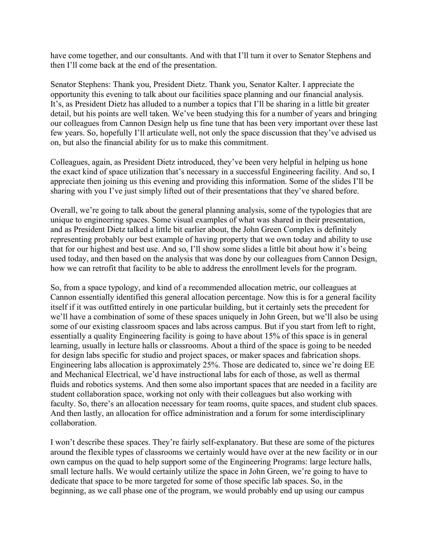have come together, and our consultants. And with that I'll turn it over to Senator Stephens and then I'll come back at the end of the presentation.

Senator Stephens: Thank you, President Dietz. Thank you, Senator Kalter. I appreciate the opportunity this evening to talk about our facilities space planning and our financial analysis. It's, as President Dietz has alluded to a number a topics that I'll be sharing in a little bit greater detail, but his points are well taken. We've been studying this for a number of years and bringing our colleagues from Cannon Design help us fine tune that has been very important over these last few years. So, hopefully I'll articulate well, not only the space discussion that they've advised us on, but also the financial ability for us to make this commitment.

Colleagues, again, as President Dietz introduced, they've been very helpful in helping us hone the exact kind of space utilization that's necessary in a successful Engineering facility. And so, I appreciate then joining us this evening and providing this information. Some of the slides I'll be sharing with you I've just simply lifted out of their presentations that they've shared before.

Overall, we're going to talk about the general planning analysis, some of the typologies that are unique to engineering spaces. Some visual examples of what was shared in their presentation, and as President Dietz talked a little bit earlier about, the John Green Complex is definitely representing probably our best example of having property that we own today and ability to use that for our highest and best use. And so, I'll show some slides a little bit about how it's being used today, and then based on the analysis that was done by our colleagues from Cannon Design, how we can retrofit that facility to be able to address the enrollment levels for the program.

So, from a space typology, and kind of a recommended allocation metric, our colleagues at Cannon essentially identified this general allocation percentage. Now this is for a general facility itself if it was outfitted entirely in one particular building, but it certainly sets the precedent for we'll have a combination of some of these spaces uniquely in John Green, but we'll also be using some of our existing classroom spaces and labs across campus. But if you start from left to right, essentially a quality Engineering facility is going to have about 15% of this space is in general learning, usually in lecture halls or classrooms. About a third of the space is going to be needed for design labs specific for studio and project spaces, or maker spaces and fabrication shops. Engineering labs allocation is approximately 25%. Those are dedicated to, since we're doing EE and Mechanical Electrical, we'd have instructional labs for each of those, as well as thermal fluids and robotics systems. And then some also important spaces that are needed in a facility are student collaboration space, working not only with their colleagues but also working with faculty. So, there's an allocation necessary for team rooms, quite spaces, and student club spaces. And then lastly, an allocation for office administration and a forum for some interdisciplinary collaboration.

I won't describe these spaces. They're fairly self-explanatory. But these are some of the pictures around the flexible types of classrooms we certainly would have over at the new facility or in our own campus on the quad to help support some of the Engineering Programs: large lecture halls, small lecture halls. We would certainly utilize the space in John Green, we're going to have to dedicate that space to be more targeted for some of those specific lab spaces. So, in the beginning, as we call phase one of the program, we would probably end up using our campus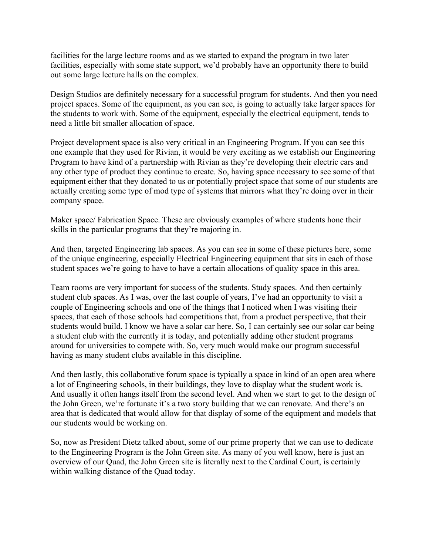facilities for the large lecture rooms and as we started to expand the program in two later facilities, especially with some state support, we'd probably have an opportunity there to build out some large lecture halls on the complex.

Design Studios are definitely necessary for a successful program for students. And then you need project spaces. Some of the equipment, as you can see, is going to actually take larger spaces for the students to work with. Some of the equipment, especially the electrical equipment, tends to need a little bit smaller allocation of space.

Project development space is also very critical in an Engineering Program. If you can see this one example that they used for Rivian, it would be very exciting as we establish our Engineering Program to have kind of a partnership with Rivian as they're developing their electric cars and any other type of product they continue to create. So, having space necessary to see some of that equipment either that they donated to us or potentially project space that some of our students are actually creating some type of mod type of systems that mirrors what they're doing over in their company space.

Maker space/ Fabrication Space. These are obviously examples of where students hone their skills in the particular programs that they're majoring in.

And then, targeted Engineering lab spaces. As you can see in some of these pictures here, some of the unique engineering, especially Electrical Engineering equipment that sits in each of those student spaces we're going to have to have a certain allocations of quality space in this area.

Team rooms are very important for success of the students. Study spaces. And then certainly student club spaces. As I was, over the last couple of years, I've had an opportunity to visit a couple of Engineering schools and one of the things that I noticed when I was visiting their spaces, that each of those schools had competitions that, from a product perspective, that their students would build. I know we have a solar car here. So, I can certainly see our solar car being a student club with the currently it is today, and potentially adding other student programs around for universities to compete with. So, very much would make our program successful having as many student clubs available in this discipline.

And then lastly, this collaborative forum space is typically a space in kind of an open area where a lot of Engineering schools, in their buildings, they love to display what the student work is. And usually it often hangs itself from the second level. And when we start to get to the design of the John Green, we're fortunate it's a two story building that we can renovate. And there's an area that is dedicated that would allow for that display of some of the equipment and models that our students would be working on.

So, now as President Dietz talked about, some of our prime property that we can use to dedicate to the Engineering Program is the John Green site. As many of you well know, here is just an overview of our Quad, the John Green site is literally next to the Cardinal Court, is certainly within walking distance of the Quad today.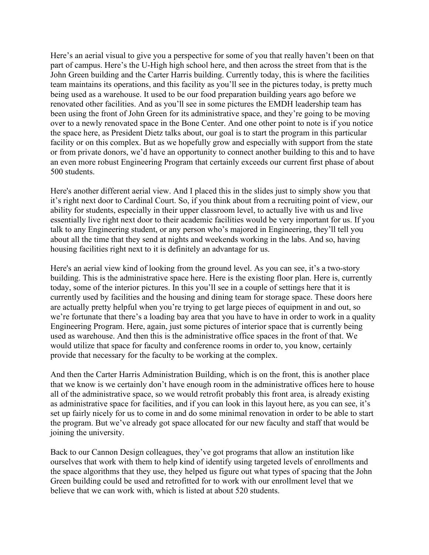Here's an aerial visual to give you a perspective for some of you that really haven't been on that part of campus. Here's the U-High high school here, and then across the street from that is the John Green building and the Carter Harris building. Currently today, this is where the facilities team maintains its operations, and this facility as you'll see in the pictures today, is pretty much being used as a warehouse. It used to be our food preparation building years ago before we renovated other facilities. And as you'll see in some pictures the EMDH leadership team has been using the front of John Green for its administrative space, and they're going to be moving over to a newly renovated space in the Bone Center. And one other point to note is if you notice the space here, as President Dietz talks about, our goal is to start the program in this particular facility or on this complex. But as we hopefully grow and especially with support from the state or from private donors, we'd have an opportunity to connect another building to this and to have an even more robust Engineering Program that certainly exceeds our current first phase of about 500 students.

Here's another different aerial view. And I placed this in the slides just to simply show you that it's right next door to Cardinal Court. So, if you think about from a recruiting point of view, our ability for students, especially in their upper classroom level, to actually live with us and live essentially live right next door to their academic facilities would be very important for us. If you talk to any Engineering student, or any person who's majored in Engineering, they'll tell you about all the time that they send at nights and weekends working in the labs. And so, having housing facilities right next to it is definitely an advantage for us.

Here's an aerial view kind of looking from the ground level. As you can see, it's a two-story building. This is the administrative space here. Here is the existing floor plan. Here is, currently today, some of the interior pictures. In this you'll see in a couple of settings here that it is currently used by facilities and the housing and dining team for storage space. These doors here are actually pretty helpful when you're trying to get large pieces of equipment in and out, so we're fortunate that there's a loading bay area that you have to have in order to work in a quality Engineering Program. Here, again, just some pictures of interior space that is currently being used as warehouse. And then this is the administrative office spaces in the front of that. We would utilize that space for faculty and conference rooms in order to, you know, certainly provide that necessary for the faculty to be working at the complex.

And then the Carter Harris Administration Building, which is on the front, this is another place that we know is we certainly don't have enough room in the administrative offices here to house all of the administrative space, so we would retrofit probably this front area, is already existing as administrative space for facilities, and if you can look in this layout here, as you can see, it's set up fairly nicely for us to come in and do some minimal renovation in order to be able to start the program. But we've already got space allocated for our new faculty and staff that would be joining the university.

Back to our Cannon Design colleagues, they've got programs that allow an institution like ourselves that work with them to help kind of identify using targeted levels of enrollments and the space algorithms that they use, they helped us figure out what types of spacing that the John Green building could be used and retrofitted for to work with our enrollment level that we believe that we can work with, which is listed at about 520 students.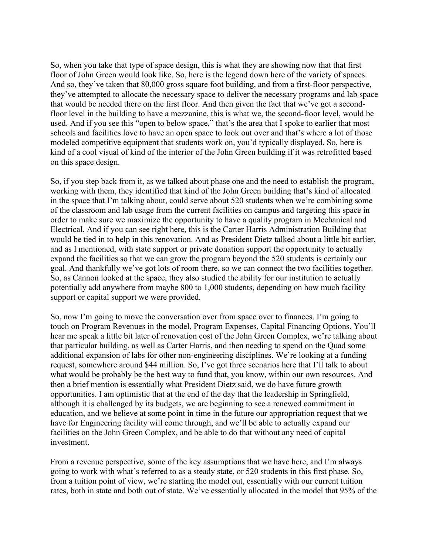So, when you take that type of space design, this is what they are showing now that that first floor of John Green would look like. So, here is the legend down here of the variety of spaces. And so, they've taken that 80,000 gross square foot building, and from a first-floor perspective, they've attempted to allocate the necessary space to deliver the necessary programs and lab space that would be needed there on the first floor. And then given the fact that we've got a secondfloor level in the building to have a mezzanine, this is what we, the second-floor level, would be used. And if you see this "open to below space," that's the area that I spoke to earlier that most schools and facilities love to have an open space to look out over and that's where a lot of those modeled competitive equipment that students work on, you'd typically displayed. So, here is kind of a cool visual of kind of the interior of the John Green building if it was retrofitted based on this space design.

So, if you step back from it, as we talked about phase one and the need to establish the program, working with them, they identified that kind of the John Green building that's kind of allocated in the space that I'm talking about, could serve about 520 students when we're combining some of the classroom and lab usage from the current facilities on campus and targeting this space in order to make sure we maximize the opportunity to have a quality program in Mechanical and Electrical. And if you can see right here, this is the Carter Harris Administration Building that would be tied in to help in this renovation. And as President Dietz talked about a little bit earlier, and as I mentioned, with state support or private donation support the opportunity to actually expand the facilities so that we can grow the program beyond the 520 students is certainly our goal. And thankfully we've got lots of room there, so we can connect the two facilities together. So, as Cannon looked at the space, they also studied the ability for our institution to actually potentially add anywhere from maybe 800 to 1,000 students, depending on how much facility support or capital support we were provided.

So, now I'm going to move the conversation over from space over to finances. I'm going to touch on Program Revenues in the model, Program Expenses, Capital Financing Options. You'll hear me speak a little bit later of renovation cost of the John Green Complex, we're talking about that particular building, as well as Carter Harris, and then needing to spend on the Quad some additional expansion of labs for other non-engineering disciplines. We're looking at a funding request, somewhere around \$44 million. So, I've got three scenarios here that I'll talk to about what would be probably be the best way to fund that, you know, within our own resources. And then a brief mention is essentially what President Dietz said, we do have future growth opportunities. I am optimistic that at the end of the day that the leadership in Springfield, although it is challenged by its budgets, we are beginning to see a renewed commitment in education, and we believe at some point in time in the future our appropriation request that we have for Engineering facility will come through, and we'll be able to actually expand our facilities on the John Green Complex, and be able to do that without any need of capital investment.

From a revenue perspective, some of the key assumptions that we have here, and I'm always going to work with what's referred to as a steady state, or 520 students in this first phase. So, from a tuition point of view, we're starting the model out, essentially with our current tuition rates, both in state and both out of state. We've essentially allocated in the model that 95% of the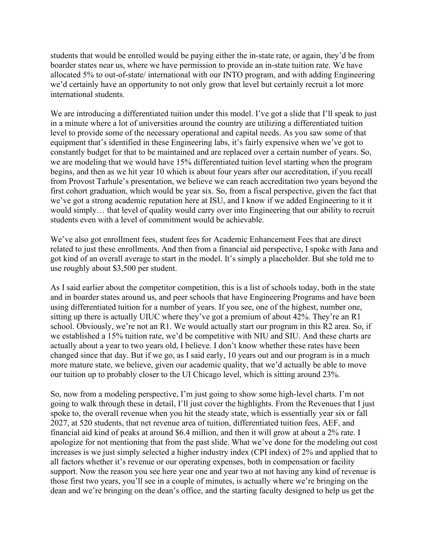students that would be enrolled would be paying either the in-state rate, or again, they'd be from boarder states near us, where we have permission to provide an in-state tuition rate. We have allocated 5% to out-of-state/ international with our INTO program, and with adding Engineering we'd certainly have an opportunity to not only grow that level but certainly recruit a lot more international students.

We are introducing a differentiated tuition under this model. I've got a slide that I'll speak to just in a minute where a lot of universities around the country are utilizing a differentiated tuition level to provide some of the necessary operational and capital needs. As you saw some of that equipment that's identified in these Engineering labs, it's fairly expensive when we've got to constantly budget for that to be maintained and are replaced over a certain number of years. So, we are modeling that we would have 15% differentiated tuition level starting when the program begins, and then as we hit year 10 which is about four years after our accreditation, if you recall from Provost Tarhule's presentation, we believe we can reach accreditation two years beyond the first cohort graduation, which would be year six. So, from a fiscal perspective, given the fact that we've got a strong academic reputation here at ISU, and I know if we added Engineering to it it would simply… that level of quality would carry over into Engineering that our ability to recruit students even with a level of commitment would be achievable.

We've also got enrollment fees, student fees for Academic Enhancement Fees that are direct related to just these enrollments. And then from a financial aid perspective, I spoke with Jana and got kind of an overall average to start in the model. It's simply a placeholder. But she told me to use roughly about \$3,500 per student.

As I said earlier about the competitor competition, this is a list of schools today, both in the state and in boarder states around us, and peer schools that have Engineering Programs and have been using differentiated tuition for a number of years. If you see, one of the highest, number one, sitting up there is actually UIUC where they've got a premium of about 42%. They're an R1 school. Obviously, we're not an R1. We would actually start our program in this R2 area. So, if we established a 15% tuition rate, we'd be competitive with NIU and SIU. And these charts are actually about a year to two years old, I believe. I don't know whether these rates have been changed since that day. But if we go, as I said early, 10 years out and our program is in a much more mature state, we believe, given our academic quality, that we'd actually be able to move our tuition up to probably closer to the UI Chicago level, which is sitting around 23%.

So, now from a modeling perspective, I'm just going to show some high-level charts. I'm not going to walk through these in detail, I'll just cover the highlights. From the Revenues that I just spoke to, the overall revenue when you hit the steady state, which is essentially year six or fall 2027, at 520 students, that net revenue area of tuition, differentiated tuition fees, AEF, and financial aid kind of peaks at around \$6.4 million, and then it will grow at about a 2% rate. I apologize for not mentioning that from the past slide. What we've done for the modeling out cost increases is we just simply selected a higher industry index (CPI index) of 2% and applied that to all factors whether it's revenue or our operating expenses, both in compensation or facility support. Now the reason you see here year one and year two at not having any kind of revenue is those first two years, you'll see in a couple of minutes, is actually where we're bringing on the dean and we're bringing on the dean's office, and the starting faculty designed to help us get the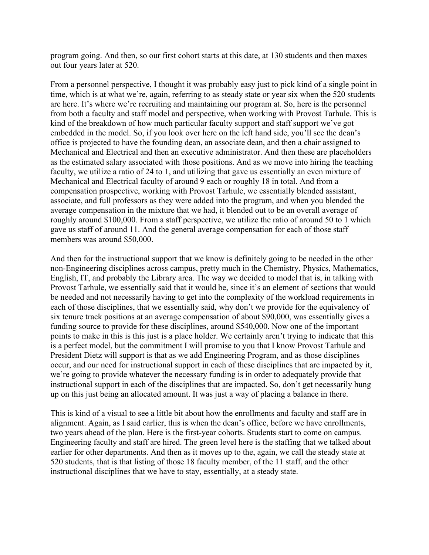program going. And then, so our first cohort starts at this date, at 130 students and then maxes out four years later at 520.

From a personnel perspective, I thought it was probably easy just to pick kind of a single point in time, which is at what we're, again, referring to as steady state or year six when the 520 students are here. It's where we're recruiting and maintaining our program at. So, here is the personnel from both a faculty and staff model and perspective, when working with Provost Tarhule. This is kind of the breakdown of how much particular faculty support and staff support we've got embedded in the model. So, if you look over here on the left hand side, you'll see the dean's office is projected to have the founding dean, an associate dean, and then a chair assigned to Mechanical and Electrical and then an executive administrator. And then these are placeholders as the estimated salary associated with those positions. And as we move into hiring the teaching faculty, we utilize a ratio of 24 to 1, and utilizing that gave us essentially an even mixture of Mechanical and Electrical faculty of around 9 each or roughly 18 in total. And from a compensation prospective, working with Provost Tarhule, we essentially blended assistant, associate, and full professors as they were added into the program, and when you blended the average compensation in the mixture that we had, it blended out to be an overall average of roughly around \$100,000. From a staff perspective, we utilize the ratio of around 50 to 1 which gave us staff of around 11. And the general average compensation for each of those staff members was around \$50,000.

And then for the instructional support that we know is definitely going to be needed in the other non-Engineering disciplines across campus, pretty much in the Chemistry, Physics, Mathematics, English, IT, and probably the Library area. The way we decided to model that is, in talking with Provost Tarhule, we essentially said that it would be, since it's an element of sections that would be needed and not necessarily having to get into the complexity of the workload requirements in each of those disciplines, that we essentially said, why don't we provide for the equivalency of six tenure track positions at an average compensation of about \$90,000, was essentially gives a funding source to provide for these disciplines, around \$540,000. Now one of the important points to make in this is this just is a place holder. We certainly aren't trying to indicate that this is a perfect model, but the commitment I will promise to you that I know Provost Tarhule and President Dietz will support is that as we add Engineering Program, and as those disciplines occur, and our need for instructional support in each of these disciplines that are impacted by it, we're going to provide whatever the necessary funding is in order to adequately provide that instructional support in each of the disciplines that are impacted. So, don't get necessarily hung up on this just being an allocated amount. It was just a way of placing a balance in there.

This is kind of a visual to see a little bit about how the enrollments and faculty and staff are in alignment. Again, as I said earlier, this is when the dean's office, before we have enrollments, two years ahead of the plan. Here is the first-year cohorts. Students start to come on campus. Engineering faculty and staff are hired. The green level here is the staffing that we talked about earlier for other departments. And then as it moves up to the, again, we call the steady state at 520 students, that is that listing of those 18 faculty member, of the 11 staff, and the other instructional disciplines that we have to stay, essentially, at a steady state.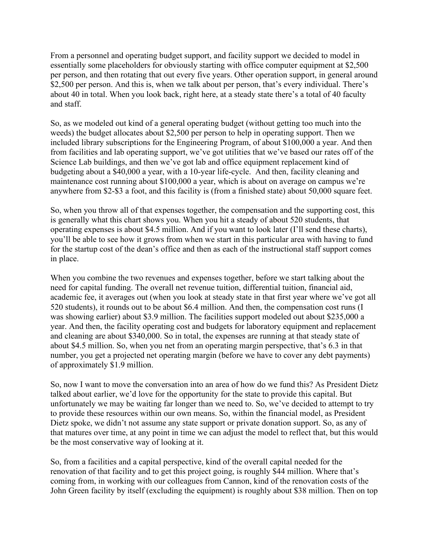From a personnel and operating budget support, and facility support we decided to model in essentially some placeholders for obviously starting with office computer equipment at \$2,500 per person, and then rotating that out every five years. Other operation support, in general around \$2,500 per person. And this is, when we talk about per person, that's every individual. There's about 40 in total. When you look back, right here, at a steady state there's a total of 40 faculty and staff.

So, as we modeled out kind of a general operating budget (without getting too much into the weeds) the budget allocates about \$2,500 per person to help in operating support. Then we included library subscriptions for the Engineering Program, of about \$100,000 a year. And then from facilities and lab operating support, we've got utilities that we've based our rates off of the Science Lab buildings, and then we've got lab and office equipment replacement kind of budgeting about a \$40,000 a year, with a 10-year life-cycle. And then, facility cleaning and maintenance cost running about \$100,000 a year, which is about on average on campus we're anywhere from \$2-\$3 a foot, and this facility is (from a finished state) about 50,000 square feet.

So, when you throw all of that expenses together, the compensation and the supporting cost, this is generally what this chart shows you. When you hit a steady of about 520 students, that operating expenses is about \$4.5 million. And if you want to look later (I'll send these charts), you'll be able to see how it grows from when we start in this particular area with having to fund for the startup cost of the dean's office and then as each of the instructional staff support comes in place.

When you combine the two revenues and expenses together, before we start talking about the need for capital funding. The overall net revenue tuition, differential tuition, financial aid, academic fee, it averages out (when you look at steady state in that first year where we've got all 520 students), it rounds out to be about \$6.4 million. And then, the compensation cost runs (I was showing earlier) about \$3.9 million. The facilities support modeled out about \$235,000 a year. And then, the facility operating cost and budgets for laboratory equipment and replacement and cleaning are about \$340,000. So in total, the expenses are running at that steady state of about \$4.5 million. So, when you net from an operating margin perspective, that's 6.3 in that number, you get a projected net operating margin (before we have to cover any debt payments) of approximately \$1.9 million.

So, now I want to move the conversation into an area of how do we fund this? As President Dietz talked about earlier, we'd love for the opportunity for the state to provide this capital. But unfortunately we may be waiting far longer than we need to. So, we've decided to attempt to try to provide these resources within our own means. So, within the financial model, as President Dietz spoke, we didn't not assume any state support or private donation support. So, as any of that matures over time, at any point in time we can adjust the model to reflect that, but this would be the most conservative way of looking at it.

So, from a facilities and a capital perspective, kind of the overall capital needed for the renovation of that facility and to get this project going, is roughly \$44 million. Where that's coming from, in working with our colleagues from Cannon, kind of the renovation costs of the John Green facility by itself (excluding the equipment) is roughly about \$38 million. Then on top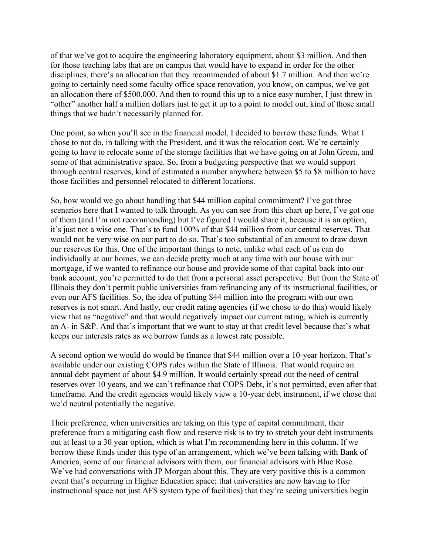of that we've got to acquire the engineering laboratory equipment, about \$3 million. And then for those teaching labs that are on campus that would have to expand in order for the other disciplines, there's an allocation that they recommended of about \$1.7 million. And then we're going to certainly need some faculty office space renovation, you know, on campus, we've got an allocation there of \$500,000. And then to round this up to a nice easy number, I just threw in "other" another half a million dollars just to get it up to a point to model out, kind of those small things that we hadn't necessarily planned for.

One point, so when you'll see in the financial model, I decided to borrow these funds. What I chose to not do, in talking with the President, and it was the relocation cost. We're certainly going to have to relocate some of the storage facilities that we have going on at John Green, and some of that administrative space. So, from a budgeting perspective that we would support through central reserves, kind of estimated a number anywhere between \$5 to \$8 million to have those facilities and personnel relocated to different locations.

So, how would we go about handling that \$44 million capital commitment? I've got three scenarios here that I wanted to talk through. As you can see from this chart up here, I've got one of them (and I'm not recommending) but I've figured I would share it, because it is an option, it's just not a wise one. That's to fund 100% of that \$44 million from our central reserves. That would not be very wise on our part to do so. That's too substantial of an amount to draw down our reserves for this. One of the important things to note, unlike what each of us can do individually at our homes, we can decide pretty much at any time with our house with our mortgage, if we wanted to refinance our house and provide some of that capital back into our bank account, you're permitted to do that from a personal asset perspective. But from the State of Illinois they don't permit public universities from refinancing any of its instructional facilities, or even our AFS facilities. So, the idea of putting \$44 million into the program with our own reserves is not smart. And lastly, our credit rating agencies (if we chose to do this) would likely view that as "negative" and that would negatively impact our current rating, which is currently an A- in S&P. And that's important that we want to stay at that credit level because that's what keeps our interests rates as we borrow funds as a lowest rate possible.

A second option we would do would be finance that \$44 million over a 10-year horizon. That's available under our existing COPS rules within the State of Illinois. That would require an annual debt payment of about \$4.9 million. It would certainly spread out the need of central reserves over 10 years, and we can't refinance that COPS Debt, it's not permitted, even after that timeframe. And the credit agencies would likely view a 10-year debt instrument, if we chose that we'd neutral potentially the negative.

Their preference, when universities are taking on this type of capital commitment, their preference from a mitigating cash flow and reserve risk is to try to stretch your debt instruments out at least to a 30 year option, which is what I'm recommending here in this column. If we borrow these funds under this type of an arrangement, which we've been talking with Bank of America, some of our financial advisors with them, our financial advisors with Blue Rose. We've had conversations with JP Morgan about this. They are very positive this is a common event that's occurring in Higher Education space; that universities are now having to (for instructional space not just AFS system type of facilities) that they're seeing universities begin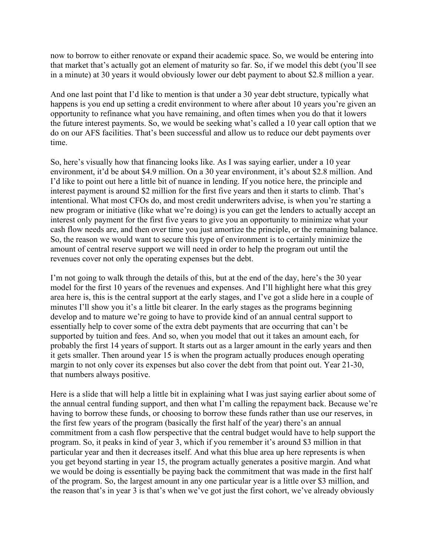now to borrow to either renovate or expand their academic space. So, we would be entering into that market that's actually got an element of maturity so far. So, if we model this debt (you'll see in a minute) at 30 years it would obviously lower our debt payment to about \$2.8 million a year.

And one last point that I'd like to mention is that under a 30 year debt structure, typically what happens is you end up setting a credit environment to where after about 10 years you're given an opportunity to refinance what you have remaining, and often times when you do that it lowers the future interest payments. So, we would be seeking what's called a 10 year call option that we do on our AFS facilities. That's been successful and allow us to reduce our debt payments over time.

So, here's visually how that financing looks like. As I was saying earlier, under a 10 year environment, it'd be about \$4.9 million. On a 30 year environment, it's about \$2.8 million. And I'd like to point out here a little bit of nuance in lending. If you notice here, the principle and interest payment is around \$2 million for the first five years and then it starts to climb. That's intentional. What most CFOs do, and most credit underwriters advise, is when you're starting a new program or initiative (like what we're doing) is you can get the lenders to actually accept an interest only payment for the first five years to give you an opportunity to minimize what your cash flow needs are, and then over time you just amortize the principle, or the remaining balance. So, the reason we would want to secure this type of environment is to certainly minimize the amount of central reserve support we will need in order to help the program out until the revenues cover not only the operating expenses but the debt.

I'm not going to walk through the details of this, but at the end of the day, here's the 30 year model for the first 10 years of the revenues and expenses. And I'll highlight here what this grey area here is, this is the central support at the early stages, and I've got a slide here in a couple of minutes I'll show you it's a little bit clearer. In the early stages as the programs beginning develop and to mature we're going to have to provide kind of an annual central support to essentially help to cover some of the extra debt payments that are occurring that can't be supported by tuition and fees. And so, when you model that out it takes an amount each, for probably the first 14 years of support. It starts out as a larger amount in the early years and then it gets smaller. Then around year 15 is when the program actually produces enough operating margin to not only cover its expenses but also cover the debt from that point out. Year 21-30, that numbers always positive.

Here is a slide that will help a little bit in explaining what I was just saying earlier about some of the annual central funding support, and then what I'm calling the repayment back. Because we're having to borrow these funds, or choosing to borrow these funds rather than use our reserves, in the first few years of the program (basically the first half of the year) there's an annual commitment from a cash flow perspective that the central budget would have to help support the program. So, it peaks in kind of year 3, which if you remember it's around \$3 million in that particular year and then it decreases itself. And what this blue area up here represents is when you get beyond starting in year 15, the program actually generates a positive margin. And what we would be doing is essentially be paying back the commitment that was made in the first half of the program. So, the largest amount in any one particular year is a little over \$3 million, and the reason that's in year 3 is that's when we've got just the first cohort, we've already obviously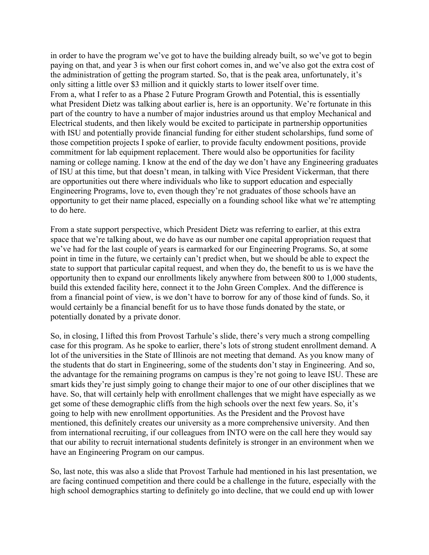in order to have the program we've got to have the building already built, so we've got to begin paying on that, and year 3 is when our first cohort comes in, and we've also got the extra cost of the administration of getting the program started. So, that is the peak area, unfortunately, it's only sitting a little over \$3 million and it quickly starts to lower itself over time. From a, what I refer to as a Phase 2 Future Program Growth and Potential, this is essentially what President Dietz was talking about earlier is, here is an opportunity. We're fortunate in this part of the country to have a number of major industries around us that employ Mechanical and Electrical students, and then likely would be excited to participate in partnership opportunities with ISU and potentially provide financial funding for either student scholarships, fund some of those competition projects I spoke of earlier, to provide faculty endowment positions, provide commitment for lab equipment replacement. There would also be opportunities for facility naming or college naming. I know at the end of the day we don't have any Engineering graduates of ISU at this time, but that doesn't mean, in talking with Vice President Vickerman, that there are opportunities out there where individuals who like to support education and especially Engineering Programs, love to, even though they're not graduates of those schools have an opportunity to get their name placed, especially on a founding school like what we're attempting to do here.

From a state support perspective, which President Dietz was referring to earlier, at this extra space that we're talking about, we do have as our number one capital appropriation request that we've had for the last couple of years is earmarked for our Engineering Programs. So, at some point in time in the future, we certainly can't predict when, but we should be able to expect the state to support that particular capital request, and when they do, the benefit to us is we have the opportunity then to expand our enrollments likely anywhere from between 800 to 1,000 students, build this extended facility here, connect it to the John Green Complex. And the difference is from a financial point of view, is we don't have to borrow for any of those kind of funds. So, it would certainly be a financial benefit for us to have those funds donated by the state, or potentially donated by a private donor.

So, in closing, I lifted this from Provost Tarhule's slide, there's very much a strong compelling case for this program. As he spoke to earlier, there's lots of strong student enrollment demand. A lot of the universities in the State of Illinois are not meeting that demand. As you know many of the students that do start in Engineering, some of the students don't stay in Engineering. And so, the advantage for the remaining programs on campus is they're not going to leave ISU. These are smart kids they're just simply going to change their major to one of our other disciplines that we have. So, that will certainly help with enrollment challenges that we might have especially as we get some of these demographic cliffs from the high schools over the next few years. So, it's going to help with new enrollment opportunities. As the President and the Provost have mentioned, this definitely creates our university as a more comprehensive university. And then from international recruiting, if our colleagues from INTO were on the call here they would say that our ability to recruit international students definitely is stronger in an environment when we have an Engineering Program on our campus.

So, last note, this was also a slide that Provost Tarhule had mentioned in his last presentation, we are facing continued competition and there could be a challenge in the future, especially with the high school demographics starting to definitely go into decline, that we could end up with lower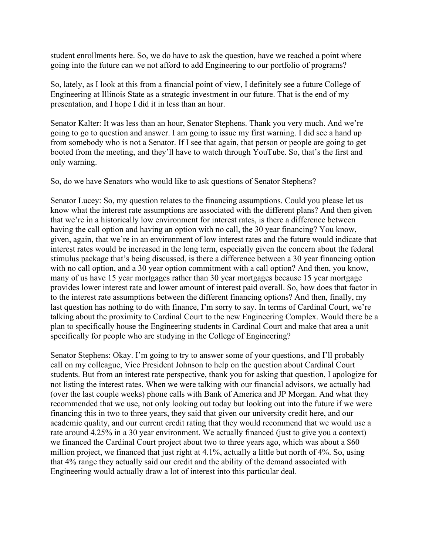student enrollments here. So, we do have to ask the question, have we reached a point where going into the future can we not afford to add Engineering to our portfolio of programs?

So, lately, as I look at this from a financial point of view, I definitely see a future College of Engineering at Illinois State as a strategic investment in our future. That is the end of my presentation, and I hope I did it in less than an hour.

Senator Kalter: It was less than an hour, Senator Stephens. Thank you very much. And we're going to go to question and answer. I am going to issue my first warning. I did see a hand up from somebody who is not a Senator. If I see that again, that person or people are going to get booted from the meeting, and they'll have to watch through YouTube. So, that's the first and only warning.

So, do we have Senators who would like to ask questions of Senator Stephens?

Senator Lucey: So, my question relates to the financing assumptions. Could you please let us know what the interest rate assumptions are associated with the different plans? And then given that we're in a historically low environment for interest rates, is there a difference between having the call option and having an option with no call, the 30 year financing? You know, given, again, that we're in an environment of low interest rates and the future would indicate that interest rates would be increased in the long term, especially given the concern about the federal stimulus package that's being discussed, is there a difference between a 30 year financing option with no call option, and a 30 year option commitment with a call option? And then, you know, many of us have 15 year mortgages rather than 30 year mortgages because 15 year mortgage provides lower interest rate and lower amount of interest paid overall. So, how does that factor in to the interest rate assumptions between the different financing options? And then, finally, my last question has nothing to do with finance, I'm sorry to say. In terms of Cardinal Court, we're talking about the proximity to Cardinal Court to the new Engineering Complex. Would there be a plan to specifically house the Engineering students in Cardinal Court and make that area a unit specifically for people who are studying in the College of Engineering?

Senator Stephens: Okay. I'm going to try to answer some of your questions, and I'll probably call on my colleague, Vice President Johnson to help on the question about Cardinal Court students. But from an interest rate perspective, thank you for asking that question, I apologize for not listing the interest rates. When we were talking with our financial advisors, we actually had (over the last couple weeks) phone calls with Bank of America and JP Morgan. And what they recommended that we use, not only looking out today but looking out into the future if we were financing this in two to three years, they said that given our university credit here, and our academic quality, and our current credit rating that they would recommend that we would use a rate around 4.25% in a 30 year environment. We actually financed (just to give you a context) we financed the Cardinal Court project about two to three years ago, which was about a \$60 million project, we financed that just right at 4.1%, actually a little but north of 4%. So, using that 4% range they actually said our credit and the ability of the demand associated with Engineering would actually draw a lot of interest into this particular deal.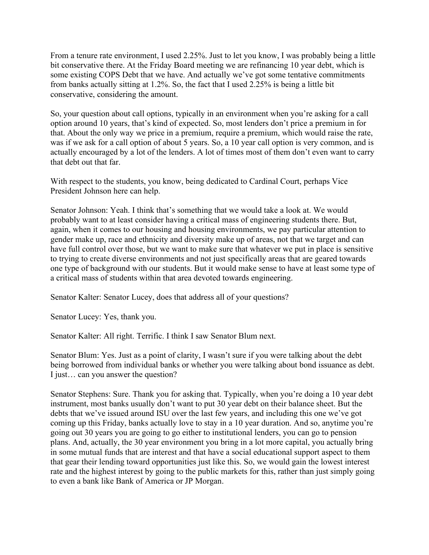From a tenure rate environment, I used 2.25%. Just to let you know, I was probably being a little bit conservative there. At the Friday Board meeting we are refinancing 10 year debt, which is some existing COPS Debt that we have. And actually we've got some tentative commitments from banks actually sitting at 1.2%. So, the fact that I used 2.25% is being a little bit conservative, considering the amount.

So, your question about call options, typically in an environment when you're asking for a call option around 10 years, that's kind of expected. So, most lenders don't price a premium in for that. About the only way we price in a premium, require a premium, which would raise the rate, was if we ask for a call option of about 5 years. So, a 10 year call option is very common, and is actually encouraged by a lot of the lenders. A lot of times most of them don't even want to carry that debt out that far.

With respect to the students, you know, being dedicated to Cardinal Court, perhaps Vice President Johnson here can help.

Senator Johnson: Yeah. I think that's something that we would take a look at. We would probably want to at least consider having a critical mass of engineering students there. But, again, when it comes to our housing and housing environments, we pay particular attention to gender make up, race and ethnicity and diversity make up of areas, not that we target and can have full control over those, but we want to make sure that whatever we put in place is sensitive to trying to create diverse environments and not just specifically areas that are geared towards one type of background with our students. But it would make sense to have at least some type of a critical mass of students within that area devoted towards engineering.

Senator Kalter: Senator Lucey, does that address all of your questions?

Senator Lucey: Yes, thank you.

Senator Kalter: All right. Terrific. I think I saw Senator Blum next.

Senator Blum: Yes. Just as a point of clarity, I wasn't sure if you were talking about the debt being borrowed from individual banks or whether you were talking about bond issuance as debt. I just… can you answer the question?

Senator Stephens: Sure. Thank you for asking that. Typically, when you're doing a 10 year debt instrument, most banks usually don't want to put 30 year debt on their balance sheet. But the debts that we've issued around ISU over the last few years, and including this one we've got coming up this Friday, banks actually love to stay in a 10 year duration. And so, anytime you're going out 30 years you are going to go either to institutional lenders, you can go to pension plans. And, actually, the 30 year environment you bring in a lot more capital, you actually bring in some mutual funds that are interest and that have a social educational support aspect to them that gear their lending toward opportunities just like this. So, we would gain the lowest interest rate and the highest interest by going to the public markets for this, rather than just simply going to even a bank like Bank of America or JP Morgan.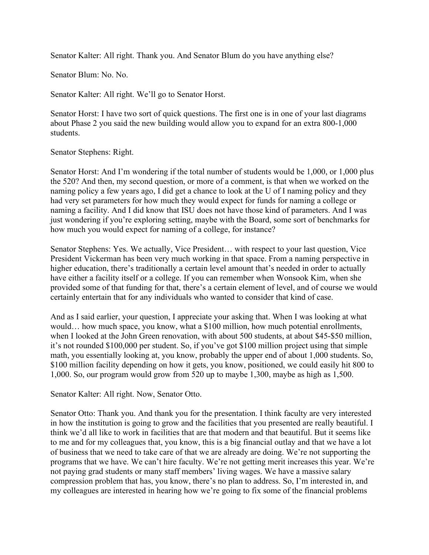Senator Kalter: All right. Thank you. And Senator Blum do you have anything else?

Senator Blum: No. No.

Senator Kalter: All right. We'll go to Senator Horst.

Senator Horst: I have two sort of quick questions. The first one is in one of your last diagrams about Phase 2 you said the new building would allow you to expand for an extra 800-1,000 students.

Senator Stephens: Right.

Senator Horst: And I'm wondering if the total number of students would be 1,000, or 1,000 plus the 520? And then, my second question, or more of a comment, is that when we worked on the naming policy a few years ago, I did get a chance to look at the U of I naming policy and they had very set parameters for how much they would expect for funds for naming a college or naming a facility. And I did know that ISU does not have those kind of parameters. And I was just wondering if you're exploring setting, maybe with the Board, some sort of benchmarks for how much you would expect for naming of a college, for instance?

Senator Stephens: Yes. We actually, Vice President… with respect to your last question, Vice President Vickerman has been very much working in that space. From a naming perspective in higher education, there's traditionally a certain level amount that's needed in order to actually have either a facility itself or a college. If you can remember when Wonsook Kim, when she provided some of that funding for that, there's a certain element of level, and of course we would certainly entertain that for any individuals who wanted to consider that kind of case.

And as I said earlier, your question, I appreciate your asking that. When I was looking at what would… how much space, you know, what a \$100 million, how much potential enrollments, when I looked at the John Green renovation, with about 500 students, at about \$45-\$50 million, it's not rounded \$100,000 per student. So, if you've got \$100 million project using that simple math, you essentially looking at, you know, probably the upper end of about 1,000 students. So, \$100 million facility depending on how it gets, you know, positioned, we could easily hit 800 to 1,000. So, our program would grow from 520 up to maybe 1,300, maybe as high as 1,500.

Senator Kalter: All right. Now, Senator Otto.

Senator Otto: Thank you. And thank you for the presentation. I think faculty are very interested in how the institution is going to grow and the facilities that you presented are really beautiful. I think we'd all like to work in facilities that are that modern and that beautiful. But it seems like to me and for my colleagues that, you know, this is a big financial outlay and that we have a lot of business that we need to take care of that we are already are doing. We're not supporting the programs that we have. We can't hire faculty. We're not getting merit increases this year. We're not paying grad students or many staff members' living wages. We have a massive salary compression problem that has, you know, there's no plan to address. So, I'm interested in, and my colleagues are interested in hearing how we're going to fix some of the financial problems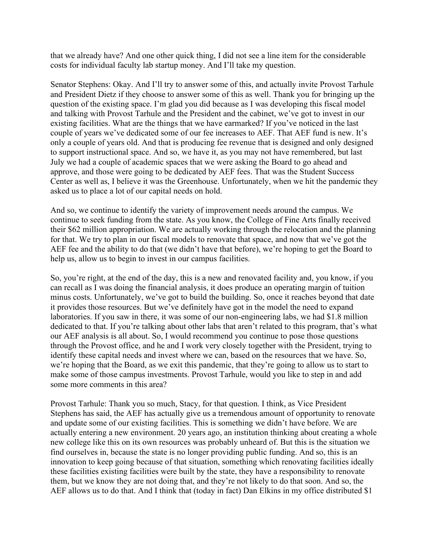that we already have? And one other quick thing, I did not see a line item for the considerable costs for individual faculty lab startup money. And I'll take my question.

Senator Stephens: Okay. And I'll try to answer some of this, and actually invite Provost Tarhule and President Dietz if they choose to answer some of this as well. Thank you for bringing up the question of the existing space. I'm glad you did because as I was developing this fiscal model and talking with Provost Tarhule and the President and the cabinet, we've got to invest in our existing facilities. What are the things that we have earmarked? If you've noticed in the last couple of years we've dedicated some of our fee increases to AEF. That AEF fund is new. It's only a couple of years old. And that is producing fee revenue that is designed and only designed to support instructional space. And so, we have it, as you may not have remembered, but last July we had a couple of academic spaces that we were asking the Board to go ahead and approve, and those were going to be dedicated by AEF fees. That was the Student Success Center as well as, I believe it was the Greenhouse. Unfortunately, when we hit the pandemic they asked us to place a lot of our capital needs on hold.

And so, we continue to identify the variety of improvement needs around the campus. We continue to seek funding from the state. As you know, the College of Fine Arts finally received their \$62 million appropriation. We are actually working through the relocation and the planning for that. We try to plan in our fiscal models to renovate that space, and now that we've got the AEF fee and the ability to do that (we didn't have that before), we're hoping to get the Board to help us, allow us to begin to invest in our campus facilities.

So, you're right, at the end of the day, this is a new and renovated facility and, you know, if you can recall as I was doing the financial analysis, it does produce an operating margin of tuition minus costs. Unfortunately, we've got to build the building. So, once it reaches beyond that date it provides those resources. But we've definitely have got in the model the need to expand laboratories. If you saw in there, it was some of our non-engineering labs, we had \$1.8 million dedicated to that. If you're talking about other labs that aren't related to this program, that's what our AEF analysis is all about. So, I would recommend you continue to pose those questions through the Provost office, and he and I work very closely together with the President, trying to identify these capital needs and invest where we can, based on the resources that we have. So, we're hoping that the Board, as we exit this pandemic, that they're going to allow us to start to make some of those campus investments. Provost Tarhule, would you like to step in and add some more comments in this area?

Provost Tarhule: Thank you so much, Stacy, for that question. I think, as Vice President Stephens has said, the AEF has actually give us a tremendous amount of opportunity to renovate and update some of our existing facilities. This is something we didn't have before. We are actually entering a new environment. 20 years ago, an institution thinking about creating a whole new college like this on its own resources was probably unheard of. But this is the situation we find ourselves in, because the state is no longer providing public funding. And so, this is an innovation to keep going because of that situation, something which renovating facilities ideally these facilities existing facilities were built by the state, they have a responsibility to renovate them, but we know they are not doing that, and they're not likely to do that soon. And so, the AEF allows us to do that. And I think that (today in fact) Dan Elkins in my office distributed \$1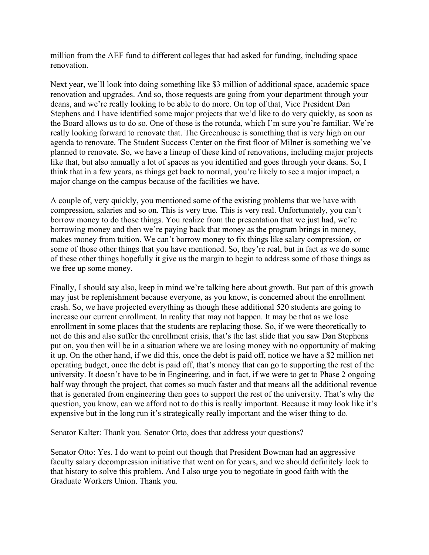million from the AEF fund to different colleges that had asked for funding, including space renovation.

Next year, we'll look into doing something like \$3 million of additional space, academic space renovation and upgrades. And so, those requests are going from your department through your deans, and we're really looking to be able to do more. On top of that, Vice President Dan Stephens and I have identified some major projects that we'd like to do very quickly, as soon as the Board allows us to do so. One of those is the rotunda, which I'm sure you're familiar. We're really looking forward to renovate that. The Greenhouse is something that is very high on our agenda to renovate. The Student Success Center on the first floor of Milner is something we've planned to renovate. So, we have a lineup of these kind of renovations, including major projects like that, but also annually a lot of spaces as you identified and goes through your deans. So, I think that in a few years, as things get back to normal, you're likely to see a major impact, a major change on the campus because of the facilities we have.

A couple of, very quickly, you mentioned some of the existing problems that we have with compression, salaries and so on. This is very true. This is very real. Unfortunately, you can't borrow money to do those things. You realize from the presentation that we just had, we're borrowing money and then we're paying back that money as the program brings in money, makes money from tuition. We can't borrow money to fix things like salary compression, or some of those other things that you have mentioned. So, they're real, but in fact as we do some of these other things hopefully it give us the margin to begin to address some of those things as we free up some money.

Finally, I should say also, keep in mind we're talking here about growth. But part of this growth may just be replenishment because everyone, as you know, is concerned about the enrollment crash. So, we have projected everything as though these additional 520 students are going to increase our current enrollment. In reality that may not happen. It may be that as we lose enrollment in some places that the students are replacing those. So, if we were theoretically to not do this and also suffer the enrollment crisis, that's the last slide that you saw Dan Stephens put on, you then will be in a situation where we are losing money with no opportunity of making it up. On the other hand, if we did this, once the debt is paid off, notice we have a \$2 million net operating budget, once the debt is paid off, that's money that can go to supporting the rest of the university. It doesn't have to be in Engineering, and in fact, if we were to get to Phase 2 ongoing half way through the project, that comes so much faster and that means all the additional revenue that is generated from engineering then goes to support the rest of the university. That's why the question, you know, can we afford not to do this is really important. Because it may look like it's expensive but in the long run it's strategically really important and the wiser thing to do.

Senator Kalter: Thank you. Senator Otto, does that address your questions?

Senator Otto: Yes. I do want to point out though that President Bowman had an aggressive faculty salary decompression initiative that went on for years, and we should definitely look to that history to solve this problem. And I also urge you to negotiate in good faith with the Graduate Workers Union. Thank you.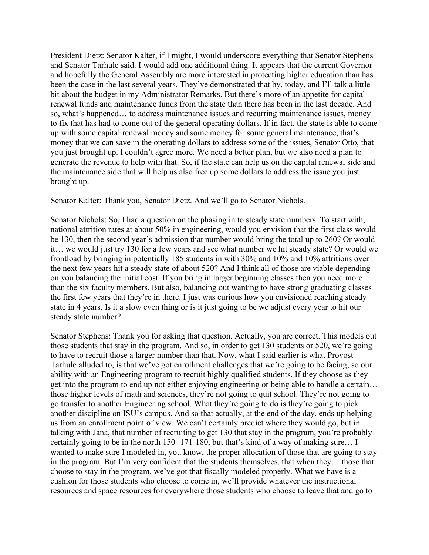President Dietz: Senator Kalter, if I might, I would underscore everything that Senator Stephens and Senator Tarhule said. I would add one additional thing. It appears that the current Governor and hopefully the General Assembly are more interested in protecting higher education than has been the case in the last several years. They've demonstrated that by, today, and I'll talk a little bit about the budget in my Administrator Remarks. But there's more of an appetite for capital renewal funds and maintenance funds from the state than there has been in the last decade. And so, what's happened… to address maintenance issues and recurring maintenance issues, money to fix that has had to come out of the general operating dollars. If in fact, the state is able to come up with some capital renewal money and some money for some general maintenance, that's money that we can save in the operating dollars to address some of the issues, Senator Otto, that you just brought up. I couldn't agree more. We need a better plan, but we also need a plan to generate the revenue to help with that. So, if the state can help us on the capital renewal side and the maintenance side that will help us also free up some dollars to address the issue you just brought up.

Senator Kalter: Thank you, Senator Dietz. And we'll go to Senator Nichols.

Senator Nichols: So, I had a question on the phasing in to steady state numbers. To start with, national attrition rates at about 50% in engineering, would you envision that the first class would be 130, then the second year's admission that number would bring the total up to 260? Or would it… we would just try 130 for a few years and see what number we hit steady state? Or would we frontload by bringing in potentially 185 students in with 30% and 10% and 10% attritions over the next few years hit a steady state of about 520? And I think all of those are viable depending on you balancing the initial cost. If you bring in larger beginning classes then you need more than the six faculty members. But also, balancing out wanting to have strong graduating classes the first few years that they're in there. I just was curious how you envisioned reaching steady state in 4 years. Is it a slow even thing or is it just going to be we adjust every year to hit our steady state number?

Senator Stephens: Thank you for asking that question. Actually, you are correct. This models out those students that stay in the program. And so, in order to get 130 students or 520, we're going to have to recruit those a larger number than that. Now, what I said earlier is what Provost Tarhule alluded to, is that we've got enrollment challenges that we're going to be facing, so our ability with an Engineering program to recruit highly qualified students. If they choose as they get into the program to end up not either enjoying engineering or being able to handle a certain… those higher levels of math and sciences, they're not going to quit school. They're not going to go transfer to another Engineering school. What they're going to do is they're going to pick another discipline on ISU's campus. And so that actually, at the end of the day, ends up helping us from an enrollment point of view. We can't certainly predict where they would go, but in talking with Jana, that number of recruiting to get 130 that stay in the program, you're probably certainly going to be in the north 150 -171-180, but that's kind of a way of making sure… I wanted to make sure I modeled in, you know, the proper allocation of those that are going to stay in the program. But I'm very confident that the students themselves, that when they… those that choose to stay in the program, we've got that fiscally modeled properly. What we have is a cushion for those students who choose to come in, we'll provide whatever the instructional resources and space resources for everywhere those students who choose to leave that and go to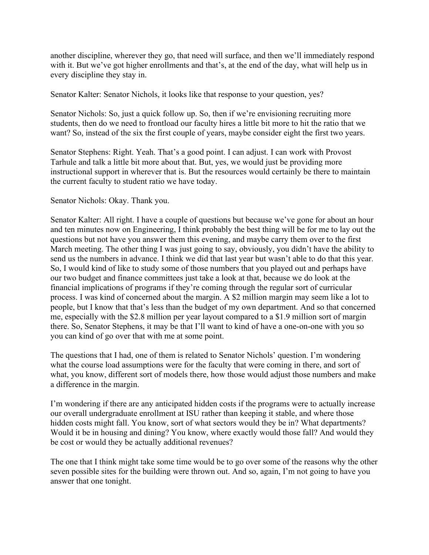another discipline, wherever they go, that need will surface, and then we'll immediately respond with it. But we've got higher enrollments and that's, at the end of the day, what will help us in every discipline they stay in.

Senator Kalter: Senator Nichols, it looks like that response to your question, yes?

Senator Nichols: So, just a quick follow up. So, then if we're envisioning recruiting more students, then do we need to frontload our faculty hires a little bit more to hit the ratio that we want? So, instead of the six the first couple of years, maybe consider eight the first two years.

Senator Stephens: Right. Yeah. That's a good point. I can adjust. I can work with Provost Tarhule and talk a little bit more about that. But, yes, we would just be providing more instructional support in wherever that is. But the resources would certainly be there to maintain the current faculty to student ratio we have today.

Senator Nichols: Okay. Thank you.

Senator Kalter: All right. I have a couple of questions but because we've gone for about an hour and ten minutes now on Engineering, I think probably the best thing will be for me to lay out the questions but not have you answer them this evening, and maybe carry them over to the first March meeting. The other thing I was just going to say, obviously, you didn't have the ability to send us the numbers in advance. I think we did that last year but wasn't able to do that this year. So, I would kind of like to study some of those numbers that you played out and perhaps have our two budget and finance committees just take a look at that, because we do look at the financial implications of programs if they're coming through the regular sort of curricular process. I was kind of concerned about the margin. A \$2 million margin may seem like a lot to people, but I know that that's less than the budget of my own department. And so that concerned me, especially with the \$2.8 million per year layout compared to a \$1.9 million sort of margin there. So, Senator Stephens, it may be that I'll want to kind of have a one-on-one with you so you can kind of go over that with me at some point.

The questions that I had, one of them is related to Senator Nichols' question. I'm wondering what the course load assumptions were for the faculty that were coming in there, and sort of what, you know, different sort of models there, how those would adjust those numbers and make a difference in the margin.

I'm wondering if there are any anticipated hidden costs if the programs were to actually increase our overall undergraduate enrollment at ISU rather than keeping it stable, and where those hidden costs might fall. You know, sort of what sectors would they be in? What departments? Would it be in housing and dining? You know, where exactly would those fall? And would they be cost or would they be actually additional revenues?

The one that I think might take some time would be to go over some of the reasons why the other seven possible sites for the building were thrown out. And so, again, I'm not going to have you answer that one tonight.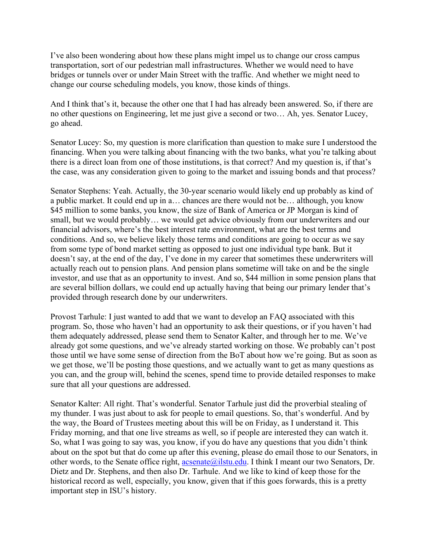I've also been wondering about how these plans might impel us to change our cross campus transportation, sort of our pedestrian mall infrastructures. Whether we would need to have bridges or tunnels over or under Main Street with the traffic. And whether we might need to change our course scheduling models, you know, those kinds of things.

And I think that's it, because the other one that I had has already been answered. So, if there are no other questions on Engineering, let me just give a second or two… Ah, yes. Senator Lucey, go ahead.

Senator Lucey: So, my question is more clarification than question to make sure I understood the financing. When you were talking about financing with the two banks, what you're talking about there is a direct loan from one of those institutions, is that correct? And my question is, if that's the case, was any consideration given to going to the market and issuing bonds and that process?

Senator Stephens: Yeah. Actually, the 30-year scenario would likely end up probably as kind of a public market. It could end up in a… chances are there would not be… although, you know \$45 million to some banks, you know, the size of Bank of America or JP Morgan is kind of small, but we would probably… we would get advice obviously from our underwriters and our financial advisors, where's the best interest rate environment, what are the best terms and conditions. And so, we believe likely those terms and conditions are going to occur as we say from some type of bond market setting as opposed to just one individual type bank. But it doesn't say, at the end of the day, I've done in my career that sometimes these underwriters will actually reach out to pension plans. And pension plans sometime will take on and be the single investor, and use that as an opportunity to invest. And so, \$44 million in some pension plans that are several billion dollars, we could end up actually having that being our primary lender that's provided through research done by our underwriters.

Provost Tarhule: I just wanted to add that we want to develop an FAQ associated with this program. So, those who haven't had an opportunity to ask their questions, or if you haven't had them adequately addressed, please send them to Senator Kalter, and through her to me. We've already got some questions, and we've already started working on those. We probably can't post those until we have some sense of direction from the BoT about how we're going. But as soon as we get those, we'll be posting those questions, and we actually want to get as many questions as you can, and the group will, behind the scenes, spend time to provide detailed responses to make sure that all your questions are addressed.

Senator Kalter: All right. That's wonderful. Senator Tarhule just did the proverbial stealing of my thunder. I was just about to ask for people to email questions. So, that's wonderful. And by the way, the Board of Trustees meeting about this will be on Friday, as I understand it. This Friday morning, and that one live streams as well, so if people are interested they can watch it. So, what I was going to say was, you know, if you do have any questions that you didn't think about on the spot but that do come up after this evening, please do email those to our Senators, in other words, to the Senate office right,  $\alpha$ csenate $\omega$ ilstu.edu. I think I meant our two Senators, Dr. Dietz and Dr. Stephens, and then also Dr. Tarhule. And we like to kind of keep those for the historical record as well, especially, you know, given that if this goes forwards, this is a pretty important step in ISU's history.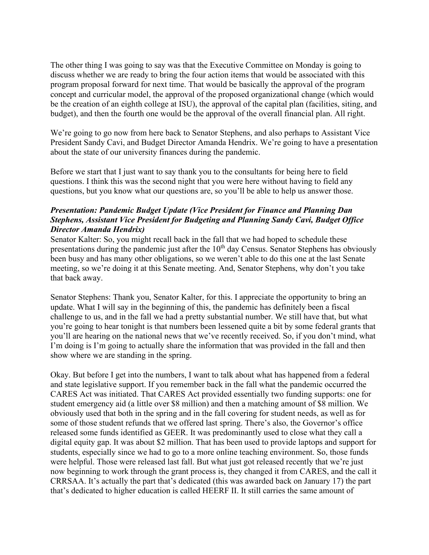The other thing I was going to say was that the Executive Committee on Monday is going to discuss whether we are ready to bring the four action items that would be associated with this program proposal forward for next time. That would be basically the approval of the program concept and curricular model, the approval of the proposed organizational change (which would be the creation of an eighth college at ISU), the approval of the capital plan (facilities, siting, and budget), and then the fourth one would be the approval of the overall financial plan. All right.

We're going to go now from here back to Senator Stephens, and also perhaps to Assistant Vice President Sandy Cavi, and Budget Director Amanda Hendrix. We're going to have a presentation about the state of our university finances during the pandemic.

Before we start that I just want to say thank you to the consultants for being here to field questions. I think this was the second night that you were here without having to field any questions, but you know what our questions are, so you'll be able to help us answer those.

## *Presentation: Pandemic Budget Update (Vice President for Finance and Planning Dan Stephens, Assistant Vice President for Budgeting and Planning Sandy Cavi, Budget Office Director Amanda Hendrix)*

Senator Kalter: So, you might recall back in the fall that we had hoped to schedule these presentations during the pandemic just after the  $10<sup>th</sup>$  day Census. Senator Stephens has obviously been busy and has many other obligations, so we weren't able to do this one at the last Senate meeting, so we're doing it at this Senate meeting. And, Senator Stephens, why don't you take that back away.

Senator Stephens: Thank you, Senator Kalter, for this. I appreciate the opportunity to bring an update. What I will say in the beginning of this, the pandemic has definitely been a fiscal challenge to us, and in the fall we had a pretty substantial number. We still have that, but what you're going to hear tonight is that numbers been lessened quite a bit by some federal grants that you'll are hearing on the national news that we've recently received. So, if you don't mind, what I'm doing is I'm going to actually share the information that was provided in the fall and then show where we are standing in the spring.

Okay. But before I get into the numbers, I want to talk about what has happened from a federal and state legislative support. If you remember back in the fall what the pandemic occurred the CARES Act was initiated. That CARES Act provided essentially two funding supports: one for student emergency aid (a little over \$8 million) and then a matching amount of \$8 million. We obviously used that both in the spring and in the fall covering for student needs, as well as for some of those student refunds that we offered last spring. There's also, the Governor's office released some funds identified as GEER. It was predominantly used to close what they call a digital equity gap. It was about \$2 million. That has been used to provide laptops and support for students, especially since we had to go to a more online teaching environment. So, those funds were helpful. Those were released last fall. But what just got released recently that we're just now beginning to work through the grant process is, they changed it from CARES, and the call it CRRSAA. It's actually the part that's dedicated (this was awarded back on January 17) the part that's dedicated to higher education is called HEERF II. It still carries the same amount of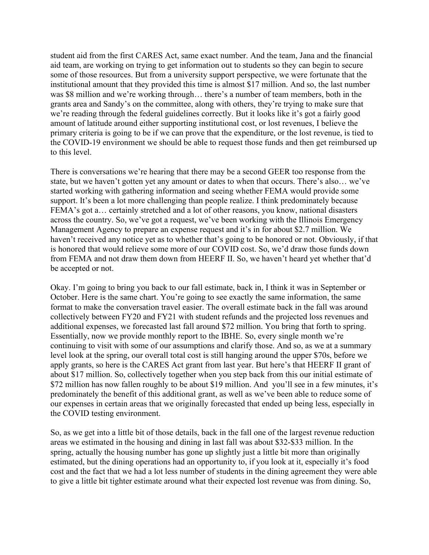student aid from the first CARES Act, same exact number. And the team, Jana and the financial aid team, are working on trying to get information out to students so they can begin to secure some of those resources. But from a university support perspective, we were fortunate that the institutional amount that they provided this time is almost \$17 million. And so, the last number was \$8 million and we're working through… there's a number of team members, both in the grants area and Sandy's on the committee, along with others, they're trying to make sure that we're reading through the federal guidelines correctly. But it looks like it's got a fairly good amount of latitude around either supporting institutional cost, or lost revenues, I believe the primary criteria is going to be if we can prove that the expenditure, or the lost revenue, is tied to the COVID-19 environment we should be able to request those funds and then get reimbursed up to this level.

There is conversations we're hearing that there may be a second GEER too response from the state, but we haven't gotten yet any amount or dates to when that occurs. There's also… we've started working with gathering information and seeing whether FEMA would provide some support. It's been a lot more challenging than people realize. I think predominately because FEMA's got a… certainly stretched and a lot of other reasons, you know, national disasters across the country. So, we've got a request, we've been working with the Illinois Emergency Management Agency to prepare an expense request and it's in for about \$2.7 million. We haven't received any notice yet as to whether that's going to be honored or not. Obviously, if that is honored that would relieve some more of our COVID cost. So, we'd draw those funds down from FEMA and not draw them down from HEERF II. So, we haven't heard yet whether that'd be accepted or not.

Okay. I'm going to bring you back to our fall estimate, back in, I think it was in September or October. Here is the same chart. You're going to see exactly the same information, the same format to make the conversation travel easier. The overall estimate back in the fall was around collectively between FY20 and FY21 with student refunds and the projected loss revenues and additional expenses, we forecasted last fall around \$72 million. You bring that forth to spring. Essentially, now we provide monthly report to the IBHE. So, every single month we're continuing to visit with some of our assumptions and clarify those. And so, as we at a summary level look at the spring, our overall total cost is still hanging around the upper \$70s, before we apply grants, so here is the CARES Act grant from last year. But here's that HEERF II grant of about \$17 million. So, collectively together when you step back from this our initial estimate of \$72 million has now fallen roughly to be about \$19 million. And you'll see in a few minutes, it's predominately the benefit of this additional grant, as well as we've been able to reduce some of our expenses in certain areas that we originally forecasted that ended up being less, especially in the COVID testing environment.

So, as we get into a little bit of those details, back in the fall one of the largest revenue reduction areas we estimated in the housing and dining in last fall was about \$32-\$33 million. In the spring, actually the housing number has gone up slightly just a little bit more than originally estimated, but the dining operations had an opportunity to, if you look at it, especially it's food cost and the fact that we had a lot less number of students in the dining agreement they were able to give a little bit tighter estimate around what their expected lost revenue was from dining. So,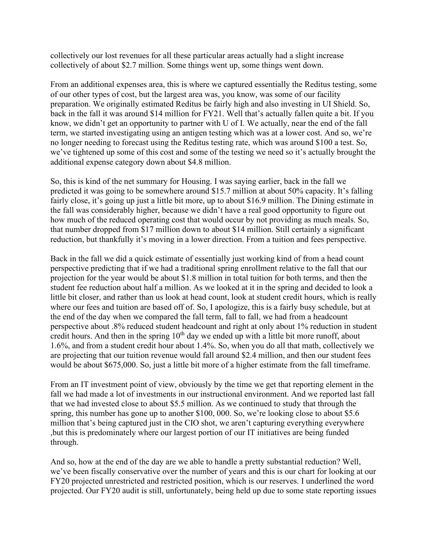collectively our lost revenues for all these particular areas actually had a slight increase collectively of about \$2.7 million. Some things went up, some things went down.

From an additional expenses area, this is where we captured essentially the Reditus testing, some of our other types of cost, but the largest area was, you know, was some of our facility preparation. We originally estimated Reditus be fairly high and also investing in UI Shield. So, back in the fall it was around \$14 million for FY21. Well that's actually fallen quite a bit. If you know, we didn't get an opportunity to partner with U of I. We actually, near the end of the fall term, we started investigating using an antigen testing which was at a lower cost. And so, we're no longer needing to forecast using the Reditus testing rate, which was around \$100 a test. So, we've tightened up some of this cost and some of the testing we need so it's actually brought the additional expense category down about \$4.8 million.

So, this is kind of the net summary for Housing. I was saying earlier, back in the fall we predicted it was going to be somewhere around \$15.7 million at about 50% capacity. It's falling fairly close, it's going up just a little bit more, up to about \$16.9 million. The Dining estimate in the fall was considerably higher, because we didn't have a real good opportunity to figure out how much of the reduced operating cost that would occur by not providing as much meals. So, that number dropped from \$17 million down to about \$14 million. Still certainly a significant reduction, but thankfully it's moving in a lower direction. From a tuition and fees perspective.

Back in the fall we did a quick estimate of essentially just working kind of from a head count perspective predicting that if we had a traditional spring enrollment relative to the fall that our projection for the year would be about \$1.8 million in total tuition for both terms, and then the student fee reduction about half a million. As we looked at it in the spring and decided to look a little bit closer, and rather than us look at head count, look at student credit hours, which is really where our fees and tuition are based off of. So, I apologize, this is a fairly busy schedule, but at the end of the day when we compared the fall term, fall to fall, we had from a headcount perspective about .8% reduced student headcount and right at only about 1% reduction in student credit hours. And then in the spring  $10<sup>th</sup>$  day we ended up with a little bit more runoff, about 1.6%, and from a student credit hour about 1.4%. So, when you do all that math, collectively we are projecting that our tuition revenue would fall around \$2.4 million, and then our student fees would be about \$675,000. So, just a little bit more of a higher estimate from the fall timeframe.

From an IT investment point of view, obviously by the time we get that reporting element in the fall we had made a lot of investments in our instructional environment. And we reported last fall that we had invested close to about \$5.5 million. As we continued to study that through the spring, this number has gone up to another \$100, 000. So, we're looking close to about \$5.6 million that's being captured just in the CIO shot, we aren't capturing everything everywhere ,but this is predominately where our largest portion of our IT initiatives are being funded through.

And so, how at the end of the day are we able to handle a pretty substantial reduction? Well, we've been fiscally conservative over the number of years and this is our chart for looking at our FY20 projected unrestricted and restricted position, which is our reserves. I underlined the word projected. Our FY20 audit is still, unfortunately, being held up due to some state reporting issues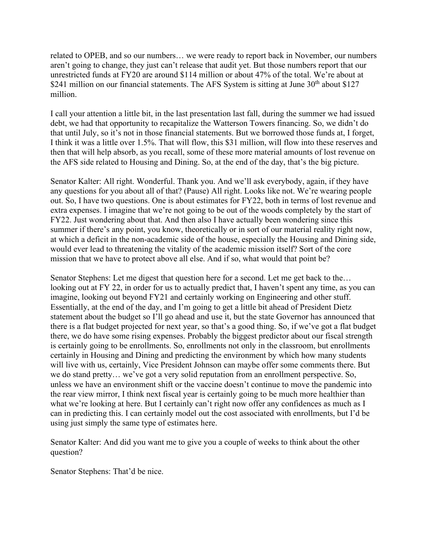related to OPEB, and so our numbers… we were ready to report back in November, our numbers aren't going to change, they just can't release that audit yet. But those numbers report that our unrestricted funds at FY20 are around \$114 million or about 47% of the total. We're about at \$241 million on our financial statements. The AFS System is sitting at June  $30<sup>th</sup>$  about \$127 million.

I call your attention a little bit, in the last presentation last fall, during the summer we had issued debt, we had that opportunity to recapitalize the Watterson Towers financing. So, we didn't do that until July, so it's not in those financial statements. But we borrowed those funds at, I forget, I think it was a little over 1.5%. That will flow, this \$31 million, will flow into these reserves and then that will help absorb, as you recall, some of these more material amounts of lost revenue on the AFS side related to Housing and Dining. So, at the end of the day, that's the big picture.

Senator Kalter: All right. Wonderful. Thank you. And we'll ask everybody, again, if they have any questions for you about all of that? (Pause) All right. Looks like not. We're wearing people out. So, I have two questions. One is about estimates for FY22, both in terms of lost revenue and extra expenses. I imagine that we're not going to be out of the woods completely by the start of FY22. Just wondering about that. And then also I have actually been wondering since this summer if there's any point, you know, theoretically or in sort of our material reality right now, at which a deficit in the non-academic side of the house, especially the Housing and Dining side, would ever lead to threatening the vitality of the academic mission itself? Sort of the core mission that we have to protect above all else. And if so, what would that point be?

Senator Stephens: Let me digest that question here for a second. Let me get back to the… looking out at FY 22, in order for us to actually predict that, I haven't spent any time, as you can imagine, looking out beyond FY21 and certainly working on Engineering and other stuff. Essentially, at the end of the day, and I'm going to get a little bit ahead of President Dietz statement about the budget so I'll go ahead and use it, but the state Governor has announced that there is a flat budget projected for next year, so that's a good thing. So, if we've got a flat budget there, we do have some rising expenses. Probably the biggest predictor about our fiscal strength is certainly going to be enrollments. So, enrollments not only in the classroom, but enrollments certainly in Housing and Dining and predicting the environment by which how many students will live with us, certainly, Vice President Johnson can maybe offer some comments there. But we do stand pretty… we've got a very solid reputation from an enrollment perspective. So, unless we have an environment shift or the vaccine doesn't continue to move the pandemic into the rear view mirror, I think next fiscal year is certainly going to be much more healthier than what we're looking at here. But I certainly can't right now offer any confidences as much as I can in predicting this. I can certainly model out the cost associated with enrollments, but I'd be using just simply the same type of estimates here.

Senator Kalter: And did you want me to give you a couple of weeks to think about the other question?

Senator Stephens: That'd be nice.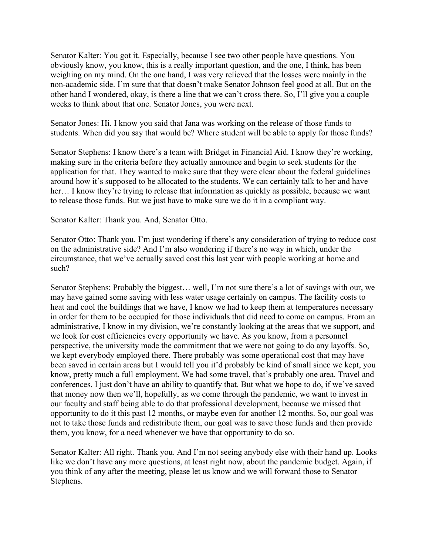Senator Kalter: You got it. Especially, because I see two other people have questions. You obviously know, you know, this is a really important question, and the one, I think, has been weighing on my mind. On the one hand, I was very relieved that the losses were mainly in the non-academic side. I'm sure that that doesn't make Senator Johnson feel good at all. But on the other hand I wondered, okay, is there a line that we can't cross there. So, I'll give you a couple weeks to think about that one. Senator Jones, you were next.

Senator Jones: Hi. I know you said that Jana was working on the release of those funds to students. When did you say that would be? Where student will be able to apply for those funds?

Senator Stephens: I know there's a team with Bridget in Financial Aid. I know they're working, making sure in the criteria before they actually announce and begin to seek students for the application for that. They wanted to make sure that they were clear about the federal guidelines around how it's supposed to be allocated to the students. We can certainly talk to her and have her... I know they're trying to release that information as quickly as possible, because we want to release those funds. But we just have to make sure we do it in a compliant way.

Senator Kalter: Thank you. And, Senator Otto.

Senator Otto: Thank you. I'm just wondering if there's any consideration of trying to reduce cost on the administrative side? And I'm also wondering if there's no way in which, under the circumstance, that we've actually saved cost this last year with people working at home and such?

Senator Stephens: Probably the biggest… well, I'm not sure there's a lot of savings with our, we may have gained some saving with less water usage certainly on campus. The facility costs to heat and cool the buildings that we have, I know we had to keep them at temperatures necessary in order for them to be occupied for those individuals that did need to come on campus. From an administrative, I know in my division, we're constantly looking at the areas that we support, and we look for cost efficiencies every opportunity we have. As you know, from a personnel perspective, the university made the commitment that we were not going to do any layoffs. So, we kept everybody employed there. There probably was some operational cost that may have been saved in certain areas but I would tell you it'd probably be kind of small since we kept, you know, pretty much a full employment. We had some travel, that's probably one area. Travel and conferences. I just don't have an ability to quantify that. But what we hope to do, if we've saved that money now then we'll, hopefully, as we come through the pandemic, we want to invest in our faculty and staff being able to do that professional development, because we missed that opportunity to do it this past 12 months, or maybe even for another 12 months. So, our goal was not to take those funds and redistribute them, our goal was to save those funds and then provide them, you know, for a need whenever we have that opportunity to do so.

Senator Kalter: All right. Thank you. And I'm not seeing anybody else with their hand up. Looks like we don't have any more questions, at least right now, about the pandemic budget. Again, if you think of any after the meeting, please let us know and we will forward those to Senator Stephens.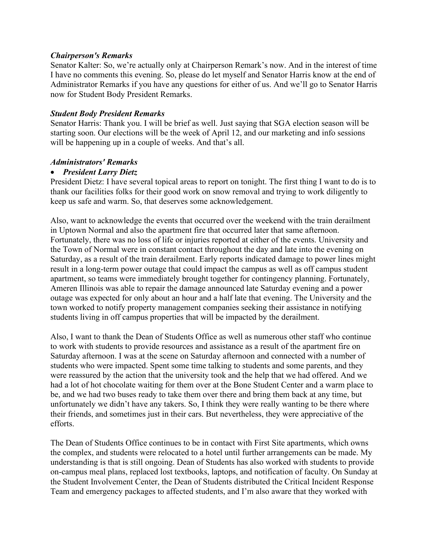#### *Chairperson's Remarks*

Senator Kalter: So, we're actually only at Chairperson Remark's now. And in the interest of time I have no comments this evening. So, please do let myself and Senator Harris know at the end of Administrator Remarks if you have any questions for either of us. And we'll go to Senator Harris now for Student Body President Remarks.

#### *Student Body President Remarks*

Senator Harris: Thank you. I will be brief as well. Just saying that SGA election season will be starting soon. Our elections will be the week of April 12, and our marketing and info sessions will be happening up in a couple of weeks. And that's all.

#### *Administrators' Remarks*

## • *President Larry Dietz*

President Dietz: I have several topical areas to report on tonight. The first thing I want to do is to thank our facilities folks for their good work on snow removal and trying to work diligently to keep us safe and warm. So, that deserves some acknowledgement.

Also, want to acknowledge the events that occurred over the weekend with the train derailment in Uptown Normal and also the apartment fire that occurred later that same afternoon. Fortunately, there was no loss of life or injuries reported at either of the events. University and the Town of Normal were in constant contact throughout the day and late into the evening on Saturday, as a result of the train derailment. Early reports indicated damage to power lines might result in a long-term power outage that could impact the campus as well as off campus student apartment, so teams were immediately brought together for contingency planning. Fortunately, Ameren Illinois was able to repair the damage announced late Saturday evening and a power outage was expected for only about an hour and a half late that evening. The University and the town worked to notify property management companies seeking their assistance in notifying students living in off campus properties that will be impacted by the derailment.

Also, I want to thank the Dean of Students Office as well as numerous other staff who continue to work with students to provide resources and assistance as a result of the apartment fire on Saturday afternoon. I was at the scene on Saturday afternoon and connected with a number of students who were impacted. Spent some time talking to students and some parents, and they were reassured by the action that the university took and the help that we had offered. And we had a lot of hot chocolate waiting for them over at the Bone Student Center and a warm place to be, and we had two buses ready to take them over there and bring them back at any time, but unfortunately we didn't have any takers. So, I think they were really wanting to be there where their friends, and sometimes just in their cars. But nevertheless, they were appreciative of the efforts.

The Dean of Students Office continues to be in contact with First Site apartments, which owns the complex, and students were relocated to a hotel until further arrangements can be made. My understanding is that is still ongoing. Dean of Students has also worked with students to provide on-campus meal plans, replaced lost textbooks, laptops, and notification of faculty. On Sunday at the Student Involvement Center, the Dean of Students distributed the Critical Incident Response Team and emergency packages to affected students, and I'm also aware that they worked with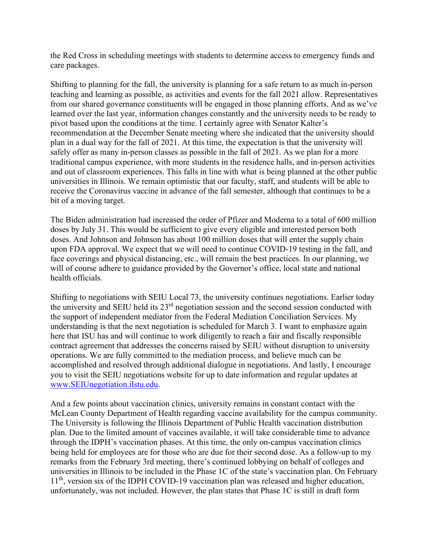the Red Cross in scheduling meetings with students to determine access to emergency funds and care packages.

Shifting to planning for the fall, the university is planning for a safe return to as much in-person teaching and learning as possible, as activities and events for the fall 2021 allow. Representatives from our shared governance constituents will be engaged in those planning efforts. And as we've learned over the last year, information changes constantly and the university needs to be ready to pivot based upon the conditions at the time. I certainly agree with Senator Kalter's recommendation at the December Senate meeting where she indicated that the university should plan in a dual way for the fall of 2021. At this time, the expectation is that the university will safely offer as many in-person classes as possible in the fall of 2021. As we plan for a more traditional campus experience, with more students in the residence halls, and in-person activities and out of classroom experiences. This falls in line with what is being planned at the other public universities in Illinois. We remain optimistic that our faculty, staff, and students will be able to receive the Coronavirus vaccine in advance of the fall semester, although that continues to be a bit of a moving target.

The Biden administration had increased the order of Pfizer and Moderna to a total of 600 million doses by July 31. This would be sufficient to give every eligible and interested person both doses. And Johnson and Johnson has about 100 million doses that will enter the supply chain upon FDA approval. We expect that we will need to continue COVID-19 testing in the fall, and face coverings and physical distancing, etc., will remain the best practices. In our planning, we will of course adhere to guidance provided by the Governor's office, local state and national health officials.

Shifting to negotiations with SEIU Local 73, the university continues negotiations. Earlier today the university and SEIU held its  $23<sup>rd</sup>$  negotiation session and the second session conducted with the support of independent mediator from the Federal Mediation Conciliation Services. My understanding is that the next negotiation is scheduled for March 3. I want to emphasize again here that ISU has and will continue to work diligently to reach a fair and fiscally responsible contract agreement that addresses the concerns raised by SEIU without disruption to university operations. We are fully committed to the mediation process, and believe much can be accomplished and resolved through additional dialogue in negotiations. And lastly, I encourage you to visit the SEIU negotiations website for up to date information and regular updates at [www.SEIUnegotiation.ilstu.edu.](about:blank)

And a few points about vaccination clinics, university remains in constant contact with the McLean County Department of Health regarding vaccine availability for the campus community. The University is following the Illinois Department of Public Health vaccination distribution plan. Due to the limited amount of vaccines available, it will take considerable time to advance through the IDPH's vaccination phases. At this time, the only on-campus vaccination clinics being held for employees are for those who are due for their second dose. As a follow-up to my remarks from the February 3rd meeting, there's continued lobbying on behalf of colleges and universities in Illinois to be included in the Phase 1C of the state's vaccination plan. On February 11<sup>th</sup>, version six of the IDPH COVID-19 vaccination plan was released and higher education, unfortunately, was not included. However, the plan states that Phase 1C is still in draft form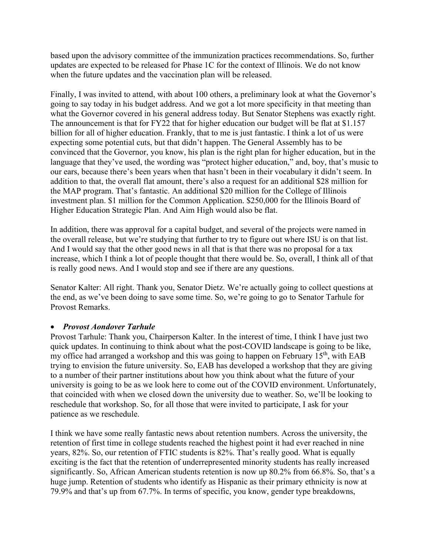based upon the advisory committee of the immunization practices recommendations. So, further updates are expected to be released for Phase 1C for the context of Illinois. We do not know when the future updates and the vaccination plan will be released.

Finally, I was invited to attend, with about 100 others, a preliminary look at what the Governor's going to say today in his budget address. And we got a lot more specificity in that meeting than what the Governor covered in his general address today. But Senator Stephens was exactly right. The announcement is that for FY22 that for higher education our budget will be flat at \$1.157 billion for all of higher education. Frankly, that to me is just fantastic. I think a lot of us were expecting some potential cuts, but that didn't happen. The General Assembly has to be convinced that the Governor, you know, his plan is the right plan for higher education, but in the language that they've used, the wording was "protect higher education," and, boy, that's music to our ears, because there's been years when that hasn't been in their vocabulary it didn't seem. In addition to that, the overall flat amount, there's also a request for an additional \$28 million for the MAP program. That's fantastic. An additional \$20 million for the College of Illinois investment plan. \$1 million for the Common Application. \$250,000 for the Illinois Board of Higher Education Strategic Plan. And Aim High would also be flat.

In addition, there was approval for a capital budget, and several of the projects were named in the overall release, but we're studying that further to try to figure out where ISU is on that list. And I would say that the other good news in all that is that there was no proposal for a tax increase, which I think a lot of people thought that there would be. So, overall, I think all of that is really good news. And I would stop and see if there are any questions.

Senator Kalter: All right. Thank you, Senator Dietz. We're actually going to collect questions at the end, as we've been doing to save some time. So, we're going to go to Senator Tarhule for Provost Remarks.

## • *Provost Aondover Tarhule*

Provost Tarhule: Thank you, Chairperson Kalter. In the interest of time, I think I have just two quick updates. In continuing to think about what the post-COVID landscape is going to be like, my office had arranged a workshop and this was going to happen on February  $15<sup>th</sup>$ , with EAB trying to envision the future university. So, EAB has developed a workshop that they are giving to a number of their partner institutions about how you think about what the future of your university is going to be as we look here to come out of the COVID environment. Unfortunately, that coincided with when we closed down the university due to weather. So, we'll be looking to reschedule that workshop. So, for all those that were invited to participate, I ask for your patience as we reschedule.

I think we have some really fantastic news about retention numbers. Across the university, the retention of first time in college students reached the highest point it had ever reached in nine years, 82%. So, our retention of FTIC students is 82%. That's really good. What is equally exciting is the fact that the retention of underrepresented minority students has really increased significantly. So, African American students retention is now up 80.2% from 66.8%. So, that's a huge jump. Retention of students who identify as Hispanic as their primary ethnicity is now at 79.9% and that's up from 67.7%. In terms of specific, you know, gender type breakdowns,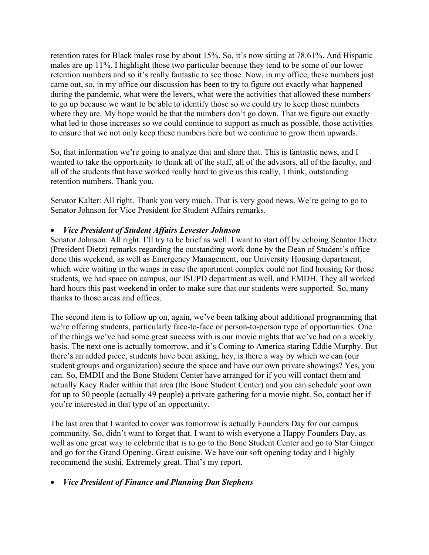retention rates for Black males rose by about 15%. So, it's now sitting at 78.61%. And Hispanic males are up 11%. I highlight those two particular because they tend to be some of our lower retention numbers and so it's really fantastic to see those. Now, in my office, these numbers just came out, so, in my office our discussion has been to try to figure out exactly what happened during the pandemic, what were the levers, what were the activities that allowed these numbers to go up because we want to be able to identify those so we could try to keep those numbers where they are. My hope would be that the numbers don't go down. That we figure out exactly what led to those increases so we could continue to support as much as possible, those activities to ensure that we not only keep these numbers here but we continue to grow them upwards.

So, that information we're going to analyze that and share that. This is fantastic news, and I wanted to take the opportunity to thank all of the staff, all of the advisors, all of the faculty, and all of the students that have worked really hard to give us this really, I think, outstanding retention numbers. Thank you.

Senator Kalter: All right. Thank you very much. That is very good news. We're going to go to Senator Johnson for Vice President for Student Affairs remarks.

## • *Vice President of Student Affairs Levester Johnson*

Senator Johnson: All right. I'll try to be brief as well. I want to start off by echoing Senator Dietz (President Dietz) remarks regarding the outstanding work done by the Dean of Student's office done this weekend, as well as Emergency Management, our University Housing department, which were waiting in the wings in case the apartment complex could not find housing for those students, we had space on campus, our ISUPD department as well, and EMDH. They all worked hard hours this past weekend in order to make sure that our students were supported. So, many thanks to those areas and offices.

The second item is to follow up on, again, we've been talking about additional programming that we're offering students, particularly face-to-face or person-to-person type of opportunities. One of the things we've had some great success with is our movie nights that we've had on a weekly basis. The next one is actually tomorrow, and it's Coming to America staring Eddie Murphy. But there's an added piece, students have been asking, hey, is there a way by which we can (our student groups and organization) secure the space and have our own private showings? Yes, you can. So, EMDH and the Bone Student Center have arranged for if you will contact them and actually Kacy Rader within that area (the Bone Student Center) and you can schedule your own for up to 50 people (actually 49 people) a private gathering for a movie night. So, contact her if you're interested in that type of an opportunity.

The last area that I wanted to cover was tomorrow is actually Founders Day for our campus community. So, didn't want to forget that. I want to wish everyone a Happy Founders Day, as well as one great way to celebrate that is to go to the Bone Student Center and go to Star Ginger and go for the Grand Opening. Great cuisine. We have our soft opening today and I highly recommend the sushi. Extremely great. That's my report.

## • *Vice President of Finance and Planning Dan Stephens*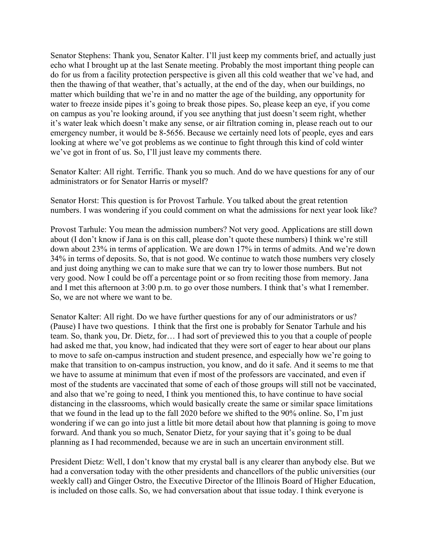Senator Stephens: Thank you, Senator Kalter. I'll just keep my comments brief, and actually just echo what I brought up at the last Senate meeting. Probably the most important thing people can do for us from a facility protection perspective is given all this cold weather that we've had, and then the thawing of that weather, that's actually, at the end of the day, when our buildings, no matter which building that we're in and no matter the age of the building, any opportunity for water to freeze inside pipes it's going to break those pipes. So, please keep an eye, if you come on campus as you're looking around, if you see anything that just doesn't seem right, whether it's water leak which doesn't make any sense, or air filtration coming in, please reach out to our emergency number, it would be 8-5656. Because we certainly need lots of people, eyes and ears looking at where we've got problems as we continue to fight through this kind of cold winter we've got in front of us. So, I'll just leave my comments there.

Senator Kalter: All right. Terrific. Thank you so much. And do we have questions for any of our administrators or for Senator Harris or myself?

Senator Horst: This question is for Provost Tarhule. You talked about the great retention numbers. I was wondering if you could comment on what the admissions for next year look like?

Provost Tarhule: You mean the admission numbers? Not very good. Applications are still down about (I don't know if Jana is on this call, please don't quote these numbers) I think we're still down about 23% in terms of application. We are down 17% in terms of admits. And we're down 34% in terms of deposits. So, that is not good. We continue to watch those numbers very closely and just doing anything we can to make sure that we can try to lower those numbers. But not very good. Now I could be off a percentage point or so from reciting those from memory. Jana and I met this afternoon at 3:00 p.m. to go over those numbers. I think that's what I remember. So, we are not where we want to be.

Senator Kalter: All right. Do we have further questions for any of our administrators or us? (Pause) I have two questions. I think that the first one is probably for Senator Tarhule and his team. So, thank you, Dr. Dietz, for… I had sort of previewed this to you that a couple of people had asked me that, you know, had indicated that they were sort of eager to hear about our plans to move to safe on-campus instruction and student presence, and especially how we're going to make that transition to on-campus instruction, you know, and do it safe. And it seems to me that we have to assume at minimum that even if most of the professors are vaccinated, and even if most of the students are vaccinated that some of each of those groups will still not be vaccinated, and also that we're going to need, I think you mentioned this, to have continue to have social distancing in the classrooms, which would basically create the same or similar space limitations that we found in the lead up to the fall 2020 before we shifted to the 90% online. So, I'm just wondering if we can go into just a little bit more detail about how that planning is going to move forward. And thank you so much, Senator Dietz, for your saying that it's going to be dual planning as I had recommended, because we are in such an uncertain environment still.

President Dietz: Well, I don't know that my crystal ball is any clearer than anybody else. But we had a conversation today with the other presidents and chancellors of the public universities (our weekly call) and Ginger Ostro, the Executive Director of the Illinois Board of Higher Education, is included on those calls. So, we had conversation about that issue today. I think everyone is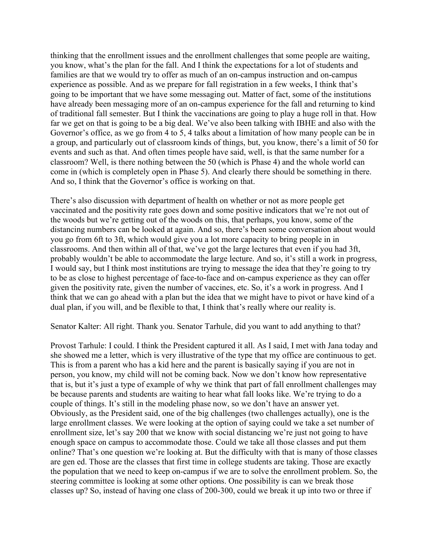thinking that the enrollment issues and the enrollment challenges that some people are waiting, you know, what's the plan for the fall. And I think the expectations for a lot of students and families are that we would try to offer as much of an on-campus instruction and on-campus experience as possible. And as we prepare for fall registration in a few weeks, I think that's going to be important that we have some messaging out. Matter of fact, some of the institutions have already been messaging more of an on-campus experience for the fall and returning to kind of traditional fall semester. But I think the vaccinations are going to play a huge roll in that. How far we get on that is going to be a big deal. We've also been talking with IBHE and also with the Governor's office, as we go from 4 to 5, 4 talks about a limitation of how many people can be in a group, and particularly out of classroom kinds of things, but, you know, there's a limit of 50 for events and such as that. And often times people have said, well, is that the same number for a classroom? Well, is there nothing between the 50 (which is Phase 4) and the whole world can come in (which is completely open in Phase 5). And clearly there should be something in there. And so, I think that the Governor's office is working on that.

There's also discussion with department of health on whether or not as more people get vaccinated and the positivity rate goes down and some positive indicators that we're not out of the woods but we're getting out of the woods on this, that perhaps, you know, some of the distancing numbers can be looked at again. And so, there's been some conversation about would you go from 6ft to 3ft, which would give you a lot more capacity to bring people in in classrooms. And then within all of that, we've got the large lectures that even if you had 3ft, probably wouldn't be able to accommodate the large lecture. And so, it's still a work in progress, I would say, but I think most institutions are trying to message the idea that they're going to try to be as close to highest percentage of face-to-face and on-campus experience as they can offer given the positivity rate, given the number of vaccines, etc. So, it's a work in progress. And I think that we can go ahead with a plan but the idea that we might have to pivot or have kind of a dual plan, if you will, and be flexible to that, I think that's really where our reality is.

Senator Kalter: All right. Thank you. Senator Tarhule, did you want to add anything to that?

Provost Tarhule: I could. I think the President captured it all. As I said, I met with Jana today and she showed me a letter, which is very illustrative of the type that my office are continuous to get. This is from a parent who has a kid here and the parent is basically saying if you are not in person, you know, my child will not be coming back. Now we don't know how representative that is, but it's just a type of example of why we think that part of fall enrollment challenges may be because parents and students are waiting to hear what fall looks like. We're trying to do a couple of things. It's still in the modeling phase now, so we don't have an answer yet. Obviously, as the President said, one of the big challenges (two challenges actually), one is the large enrollment classes. We were looking at the option of saying could we take a set number of enrollment size, let's say 200 that we know with social distancing we're just not going to have enough space on campus to accommodate those. Could we take all those classes and put them online? That's one question we're looking at. But the difficulty with that is many of those classes are gen ed. Those are the classes that first time in college students are taking. Those are exactly the population that we need to keep on-campus if we are to solve the enrollment problem. So, the steering committee is looking at some other options. One possibility is can we break those classes up? So, instead of having one class of 200-300, could we break it up into two or three if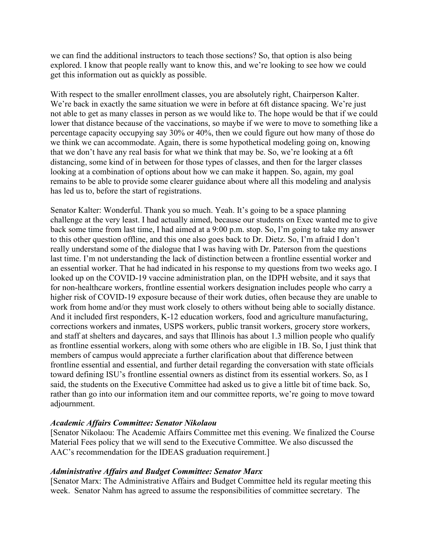we can find the additional instructors to teach those sections? So, that option is also being explored. I know that people really want to know this, and we're looking to see how we could get this information out as quickly as possible.

With respect to the smaller enrollment classes, you are absolutely right, Chairperson Kalter. We're back in exactly the same situation we were in before at 6ft distance spacing. We're just not able to get as many classes in person as we would like to. The hope would be that if we could lower that distance because of the vaccinations, so maybe if we were to move to something like a percentage capacity occupying say 30% or 40%, then we could figure out how many of those do we think we can accommodate. Again, there is some hypothetical modeling going on, knowing that we don't have any real basis for what we think that may be. So, we're looking at a 6ft distancing, some kind of in between for those types of classes, and then for the larger classes looking at a combination of options about how we can make it happen. So, again, my goal remains to be able to provide some clearer guidance about where all this modeling and analysis has led us to, before the start of registrations.

Senator Kalter: Wonderful. Thank you so much. Yeah. It's going to be a space planning challenge at the very least. I had actually aimed, because our students on Exec wanted me to give back some time from last time, I had aimed at a 9:00 p.m. stop. So, I'm going to take my answer to this other question offline, and this one also goes back to Dr. Dietz. So, I'm afraid I don't really understand some of the dialogue that I was having with Dr. Paterson from the questions last time. I'm not understanding the lack of distinction between a frontline essential worker and an essential worker. That he had indicated in his response to my questions from two weeks ago. I looked up on the COVID-19 vaccine administration plan, on the IDPH website, and it says that for non-healthcare workers, frontline essential workers designation includes people who carry a higher risk of COVID-19 exposure because of their work duties, often because they are unable to work from home and/or they must work closely to others without being able to socially distance. And it included first responders, K-12 education workers, food and agriculture manufacturing, corrections workers and inmates, USPS workers, public transit workers, grocery store workers, and staff at shelters and daycares, and says that Illinois has about 1.3 million people who qualify as frontline essential workers, along with some others who are eligible in 1B. So, I just think that members of campus would appreciate a further clarification about that difference between frontline essential and essential, and further detail regarding the conversation with state officials toward defining ISU's frontline essential owners as distinct from its essential workers. So, as I said, the students on the Executive Committee had asked us to give a little bit of time back. So, rather than go into our information item and our committee reports, we're going to move toward adjournment.

#### *Academic Affairs Committee: Senator Nikolaou*

[Senator Nikolaou: The Academic Affairs Committee met this evening. We finalized the Course Material Fees policy that we will send to the Executive Committee. We also discussed the AAC's recommendation for the IDEAS graduation requirement.]

## *Administrative Affairs and Budget Committee: Senator Marx*

[Senator Marx: The Administrative Affairs and Budget Committee held its regular meeting this week. Senator Nahm has agreed to assume the responsibilities of committee secretary. The